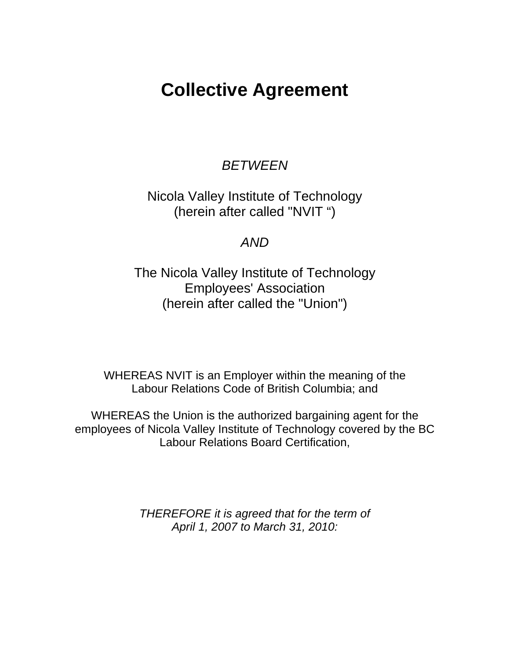# **Collective Agreement**

# *BETWEEN*

Nicola Valley Institute of Technology (herein after called "NVIT ")

# *AND*

The Nicola Valley Institute of Technology Employees' Association (herein after called the "Union")

WHEREAS NVIT is an Employer within the meaning of the Labour Relations Code of British Columbia; and

WHEREAS the Union is the authorized bargaining agent for the employees of Nicola Valley Institute of Technology covered by the BC Labour Relations Board Certification,

> *THEREFORE it is agreed that for the term of April 1, 2007 to March 31, 2010:*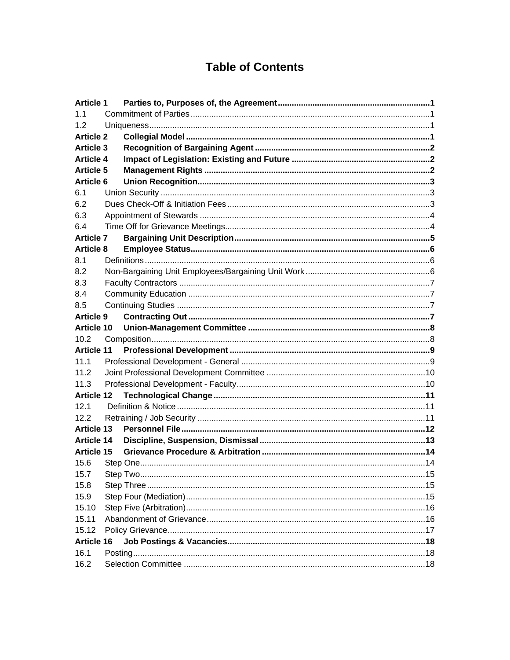# **Table of Contents**

| <b>Article 1</b>  |  |
|-------------------|--|
| 1.1               |  |
| 1.2               |  |
| <b>Article 2</b>  |  |
| <b>Article 3</b>  |  |
| <b>Article 4</b>  |  |
| <b>Article 5</b>  |  |
| <b>Article 6</b>  |  |
| 6.1               |  |
| 6.2               |  |
| 6.3               |  |
| 6.4               |  |
| <b>Article 7</b>  |  |
| <b>Article 8</b>  |  |
| 8.1               |  |
| 8.2               |  |
| 8.3               |  |
| 8.4               |  |
| 8.5               |  |
| Article 9         |  |
| <b>Article 10</b> |  |
| 10.2              |  |
| <b>Article 11</b> |  |
| 11.1              |  |
| 11.2              |  |
| 11.3              |  |
| <b>Article 12</b> |  |
| 12.1              |  |
| 12.2              |  |
| <b>Article 13</b> |  |
| <b>Article 14</b> |  |
| Article 15        |  |
| 15.6              |  |
| 15.8              |  |
| 15.9              |  |
| 15.10             |  |
| 15.11             |  |
| 15.12             |  |
| Article 16        |  |
| 16.1              |  |
| 16.2              |  |
|                   |  |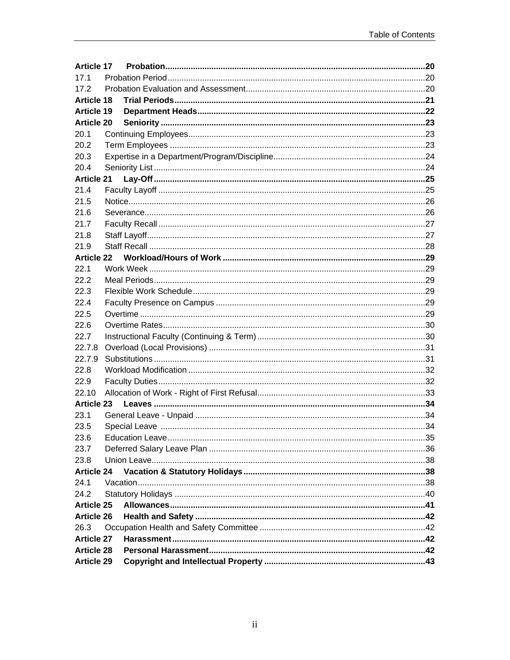| <b>Article 17</b> |  |  |
|-------------------|--|--|
| 17.1              |  |  |
| 17.2              |  |  |
| <b>Article 18</b> |  |  |
| <b>Article 19</b> |  |  |
| <b>Article 20</b> |  |  |
| 20.1              |  |  |
| 20.2              |  |  |
| 20.3              |  |  |
| 20.4              |  |  |
| <b>Article 21</b> |  |  |
| 21.4              |  |  |
| 21.5              |  |  |
| 21.6              |  |  |
| 21.7              |  |  |
| 21.8              |  |  |
| 21.9              |  |  |
| <b>Article 22</b> |  |  |
| 22.1              |  |  |
| 22.2              |  |  |
| 22.3              |  |  |
| 22.4              |  |  |
| 22.5              |  |  |
| 22.6              |  |  |
| 22.7              |  |  |
| 22.7.8            |  |  |
| 22.7.9            |  |  |
| 22.8              |  |  |
| 22.9              |  |  |
| 22.10             |  |  |
| <b>Article 23</b> |  |  |
| 23.1              |  |  |
| 23.5              |  |  |
| 23.6              |  |  |
| 23.7              |  |  |
| 23.8              |  |  |
| <b>Article 24</b> |  |  |
| 24.1              |  |  |
| 24.2              |  |  |
| <b>Article 25</b> |  |  |
| <b>Article 26</b> |  |  |
| 26.3              |  |  |
| <b>Article 27</b> |  |  |
| <b>Article 28</b> |  |  |
| <b>Article 29</b> |  |  |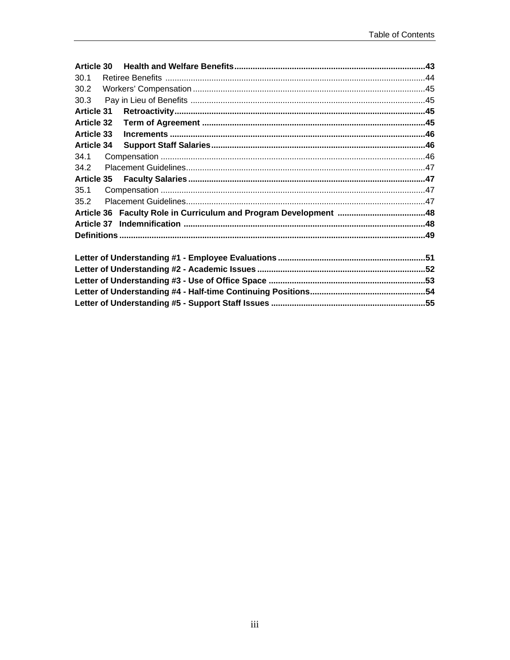| 30.1              |  |  |  |
|-------------------|--|--|--|
| 30.2              |  |  |  |
| 30.3              |  |  |  |
| <b>Article 31</b> |  |  |  |
| <b>Article 32</b> |  |  |  |
| <b>Article 33</b> |  |  |  |
| <b>Article 34</b> |  |  |  |
| 34.1              |  |  |  |
| 34.2              |  |  |  |
|                   |  |  |  |
| 35.1              |  |  |  |
| 35.2              |  |  |  |
|                   |  |  |  |
|                   |  |  |  |
|                   |  |  |  |
|                   |  |  |  |
|                   |  |  |  |
|                   |  |  |  |
|                   |  |  |  |
|                   |  |  |  |
|                   |  |  |  |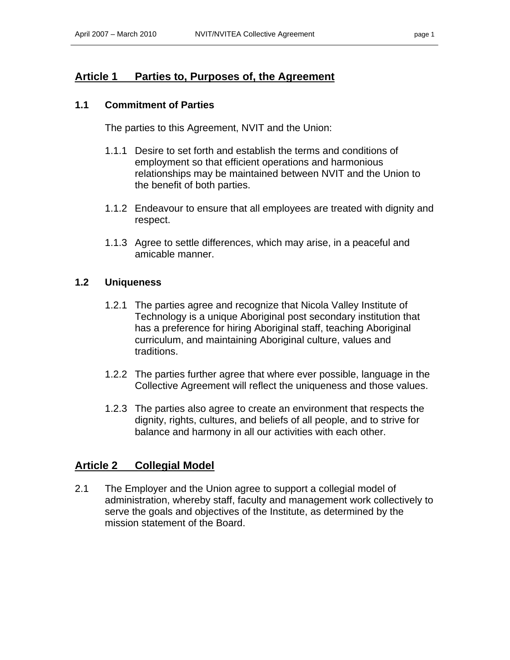### **Article 1 Parties to, Purposes of, the Agreement**

#### **1.1 Commitment of Parties**

The parties to this Agreement, NVIT and the Union:

- 1.1.1 Desire to set forth and establish the terms and conditions of employment so that efficient operations and harmonious relationships may be maintained between NVIT and the Union to the benefit of both parties.
- 1.1.2 Endeavour to ensure that all employees are treated with dignity and respect.
- 1.1.3 Agree to settle differences, which may arise, in a peaceful and amicable manner.

#### **1.2 Uniqueness**

- 1.2.1 The parties agree and recognize that Nicola Valley Institute of Technology is a unique Aboriginal post secondary institution that has a preference for hiring Aboriginal staff, teaching Aboriginal curriculum, and maintaining Aboriginal culture, values and traditions.
- 1.2.2 The parties further agree that where ever possible, language in the Collective Agreement will reflect the uniqueness and those values.
- 1.2.3 The parties also agree to create an environment that respects the dignity, rights, cultures, and beliefs of all people, and to strive for balance and harmony in all our activities with each other.

### **Article 2 Collegial Model**

2.1 The Employer and the Union agree to support a collegial model of administration, whereby staff, faculty and management work collectively to serve the goals and objectives of the Institute, as determined by the mission statement of the Board.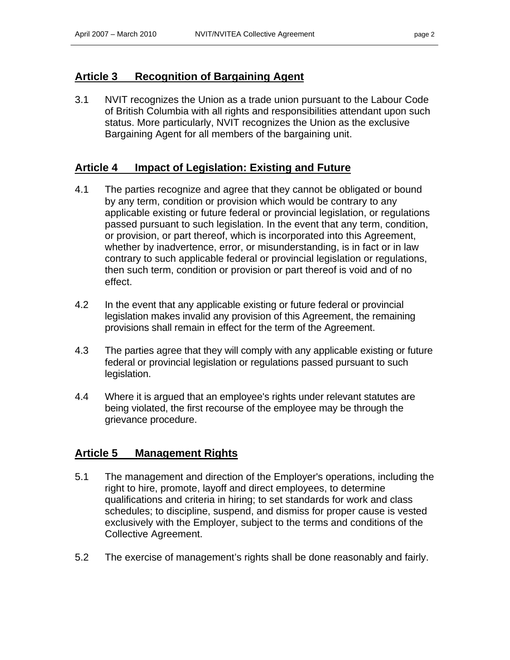### **Article 3 Recognition of Bargaining Agent**

3.1 NVIT recognizes the Union as a trade union pursuant to the Labour Code of British Columbia with all rights and responsibilities attendant upon such status. More particularly, NVIT recognizes the Union as the exclusive Bargaining Agent for all members of the bargaining unit.

### **Article 4 Impact of Legislation: Existing and Future**

- 4.1 The parties recognize and agree that they cannot be obligated or bound by any term, condition or provision which would be contrary to any applicable existing or future federal or provincial legislation, or regulations passed pursuant to such legislation. In the event that any term, condition, or provision, or part thereof, which is incorporated into this Agreement, whether by inadvertence, error, or misunderstanding, is in fact or in law contrary to such applicable federal or provincial legislation or regulations, then such term, condition or provision or part thereof is void and of no effect.
- 4.2 In the event that any applicable existing or future federal or provincial legislation makes invalid any provision of this Agreement, the remaining provisions shall remain in effect for the term of the Agreement.
- 4.3 The parties agree that they will comply with any applicable existing or future federal or provincial legislation or regulations passed pursuant to such legislation.
- 4.4 Where it is argued that an employee's rights under relevant statutes are being violated, the first recourse of the employee may be through the grievance procedure.

### **Article 5 Management Rights**

- 5.1 The management and direction of the Employer's operations, including the right to hire, promote, layoff and direct employees, to determine qualifications and criteria in hiring; to set standards for work and class schedules; to discipline, suspend, and dismiss for proper cause is vested exclusively with the Employer, subject to the terms and conditions of the Collective Agreement.
- 5.2 The exercise of management's rights shall be done reasonably and fairly.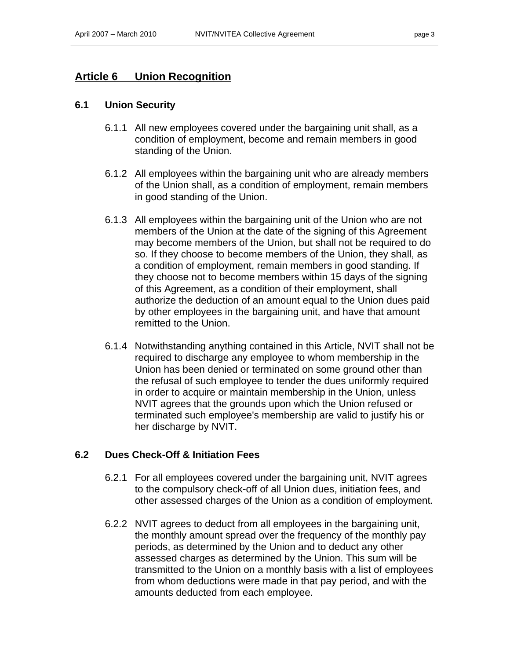### **Article 6 Union Recognition**

#### **6.1 Union Security**

- 6.1.1 All new employees covered under the bargaining unit shall, as a condition of employment, become and remain members in good standing of the Union.
- 6.1.2 All employees within the bargaining unit who are already members of the Union shall, as a condition of employment, remain members in good standing of the Union.
- 6.1.3 All employees within the bargaining unit of the Union who are not members of the Union at the date of the signing of this Agreement may become members of the Union, but shall not be required to do so. If they choose to become members of the Union, they shall, as a condition of employment, remain members in good standing. If they choose not to become members within 15 days of the signing of this Agreement, as a condition of their employment, shall authorize the deduction of an amount equal to the Union dues paid by other employees in the bargaining unit, and have that amount remitted to the Union.
- 6.1.4 Notwithstanding anything contained in this Article, NVIT shall not be required to discharge any employee to whom membership in the Union has been denied or terminated on some ground other than the refusal of such employee to tender the dues uniformly required in order to acquire or maintain membership in the Union, unless NVIT agrees that the grounds upon which the Union refused or terminated such employee's membership are valid to justify his or her discharge by NVIT.

#### **6.2 Dues Check-Off & Initiation Fees**

- 6.2.1 For all employees covered under the bargaining unit, NVIT agrees to the compulsory check-off of all Union dues, initiation fees, and other assessed charges of the Union as a condition of employment.
- 6.2.2 NVIT agrees to deduct from all employees in the bargaining unit, the monthly amount spread over the frequency of the monthly pay periods, as determined by the Union and to deduct any other assessed charges as determined by the Union. This sum will be transmitted to the Union on a monthly basis with a list of employees from whom deductions were made in that pay period, and with the amounts deducted from each employee.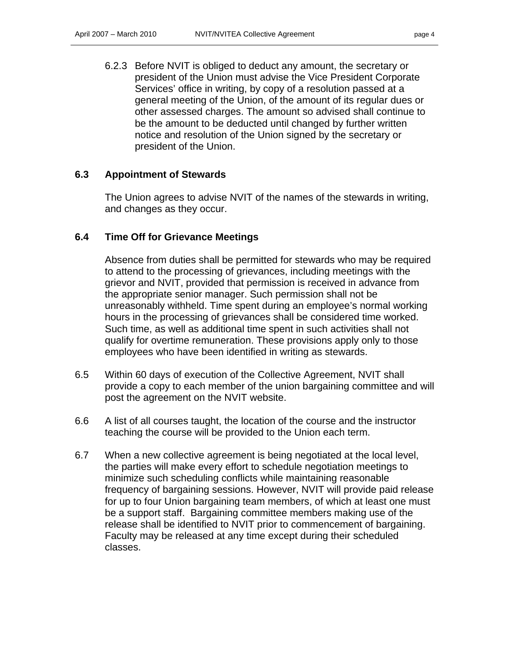6.2.3 Before NVIT is obliged to deduct any amount, the secretary or president of the Union must advise the Vice President Corporate Services' office in writing, by copy of a resolution passed at a general meeting of the Union, of the amount of its regular dues or other assessed charges. The amount so advised shall continue to be the amount to be deducted until changed by further written notice and resolution of the Union signed by the secretary or president of the Union.

### **6.3 Appointment of Stewards**

The Union agrees to advise NVIT of the names of the stewards in writing, and changes as they occur.

#### **6.4 Time Off for Grievance Meetings**

Absence from duties shall be permitted for stewards who may be required to attend to the processing of grievances, including meetings with the grievor and NVIT, provided that permission is received in advance from the appropriate senior manager. Such permission shall not be unreasonably withheld. Time spent during an employee's normal working hours in the processing of grievances shall be considered time worked. Such time, as well as additional time spent in such activities shall not qualify for overtime remuneration. These provisions apply only to those employees who have been identified in writing as stewards.

- 6.5 Within 60 days of execution of the Collective Agreement, NVIT shall provide a copy to each member of the union bargaining committee and will post the agreement on the NVIT website.
- 6.6 A list of all courses taught, the location of the course and the instructor teaching the course will be provided to the Union each term.
- 6.7 When a new collective agreement is being negotiated at the local level, the parties will make every effort to schedule negotiation meetings to minimize such scheduling conflicts while maintaining reasonable frequency of bargaining sessions. However, NVIT will provide paid release for up to four Union bargaining team members, of which at least one must be a support staff. Bargaining committee members making use of the release shall be identified to NVIT prior to commencement of bargaining. Faculty may be released at any time except during their scheduled classes.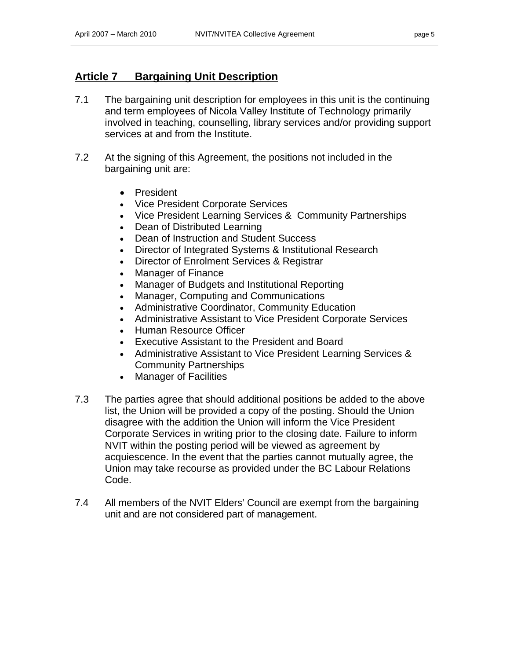### **Article 7 Bargaining Unit Description**

- 7.1 The bargaining unit description for employees in this unit is the continuing and term employees of Nicola Valley Institute of Technology primarily involved in teaching, counselling, library services and/or providing support services at and from the Institute.
- 7.2 At the signing of this Agreement, the positions not included in the bargaining unit are:
	- President
	- Vice President Corporate Services
	- Vice President Learning Services & Community Partnerships
	- Dean of Distributed Learning
	- Dean of Instruction and Student Success
	- Director of Integrated Systems & Institutional Research
	- Director of Enrolment Services & Registrar
	- Manager of Finance
	- Manager of Budgets and Institutional Reporting
	- Manager, Computing and Communications
	- Administrative Coordinator, Community Education
	- Administrative Assistant to Vice President Corporate Services
	- Human Resource Officer
	- Executive Assistant to the President and Board
	- Administrative Assistant to Vice President Learning Services & Community Partnerships
	- Manager of Facilities
- 7.3 The parties agree that should additional positions be added to the above list, the Union will be provided a copy of the posting. Should the Union disagree with the addition the Union will inform the Vice President Corporate Services in writing prior to the closing date. Failure to inform NVIT within the posting period will be viewed as agreement by acquiescence. In the event that the parties cannot mutually agree, the Union may take recourse as provided under the BC Labour Relations Code.
- 7.4 All members of the NVIT Elders' Council are exempt from the bargaining unit and are not considered part of management.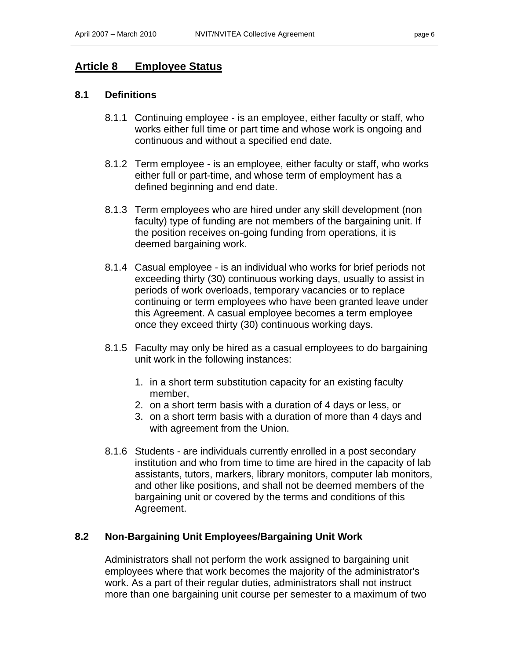### **Article 8 Employee Status**

#### **8.1 Definitions**

- 8.1.1 Continuing employee is an employee, either faculty or staff, who works either full time or part time and whose work is ongoing and continuous and without a specified end date.
- 8.1.2 Term employee is an employee, either faculty or staff, who works either full or part-time, and whose term of employment has a defined beginning and end date.
- 8.1.3 Term employees who are hired under any skill development (non faculty) type of funding are not members of the bargaining unit. If the position receives on-going funding from operations, it is deemed bargaining work.
- 8.1.4 Casual employee is an individual who works for brief periods not exceeding thirty (30) continuous working days, usually to assist in periods of work overloads, temporary vacancies or to replace continuing or term employees who have been granted leave under this Agreement. A casual employee becomes a term employee once they exceed thirty (30) continuous working days.
- 8.1.5 Faculty may only be hired as a casual employees to do bargaining unit work in the following instances:
	- 1. in a short term substitution capacity for an existing faculty member,
	- 2. on a short term basis with a duration of 4 days or less, or
	- 3. on a short term basis with a duration of more than 4 days and with agreement from the Union.
- 8.1.6 Students are individuals currently enrolled in a post secondary institution and who from time to time are hired in the capacity of lab assistants, tutors, markers, library monitors, computer lab monitors, and other like positions, and shall not be deemed members of the bargaining unit or covered by the terms and conditions of this Agreement.

#### **8.2 Non-Bargaining Unit Employees/Bargaining Unit Work**

Administrators shall not perform the work assigned to bargaining unit employees where that work becomes the majority of the administrator's work. As a part of their regular duties, administrators shall not instruct more than one bargaining unit course per semester to a maximum of two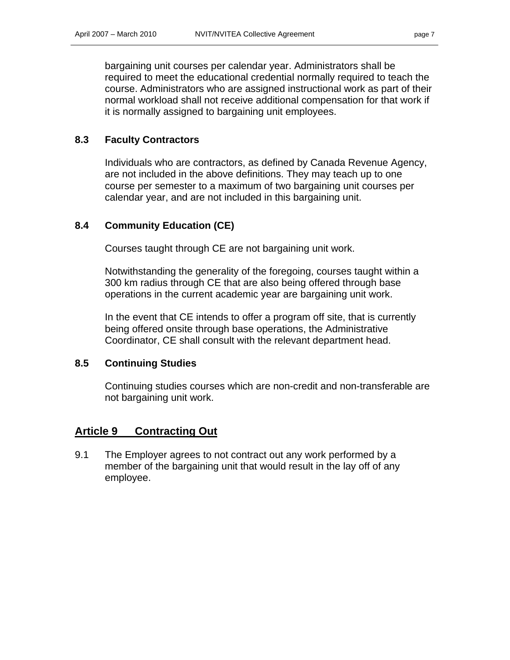bargaining unit courses per calendar year. Administrators shall be required to meet the educational credential normally required to teach the course. Administrators who are assigned instructional work as part of their normal workload shall not receive additional compensation for that work if it is normally assigned to bargaining unit employees.

### **8.3 Faculty Contractors**

Individuals who are contractors, as defined by Canada Revenue Agency, are not included in the above definitions. They may teach up to one course per semester to a maximum of two bargaining unit courses per calendar year, and are not included in this bargaining unit.

### **8.4 Community Education (CE)**

Courses taught through CE are not bargaining unit work.

Notwithstanding the generality of the foregoing, courses taught within a 300 km radius through CE that are also being offered through base operations in the current academic year are bargaining unit work.

In the event that CE intends to offer a program off site, that is currently being offered onsite through base operations, the Administrative Coordinator, CE shall consult with the relevant department head.

#### **8.5 Continuing Studies**

Continuing studies courses which are non-credit and non-transferable are not bargaining unit work.

### **Article 9 Contracting Out**

9.1 The Employer agrees to not contract out any work performed by a member of the bargaining unit that would result in the lay off of any employee.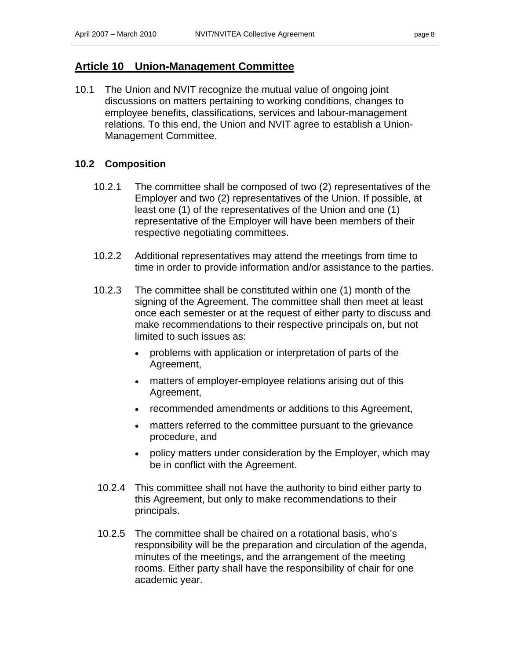### **Article 10 Union-Management Committee**

10.1 The Union and NVIT recognize the mutual value of ongoing joint discussions on matters pertaining to working conditions, changes to employee benefits, classifications, services and labour-management relations. To this end, the Union and NVIT agree to establish a Union-Management Committee.

### **10.2 Composition**

- 10.2.1 The committee shall be composed of two (2) representatives of the Employer and two (2) representatives of the Union. If possible, at least one (1) of the representatives of the Union and one (1) representative of the Employer will have been members of their respective negotiating committees.
- 10.2.2 Additional representatives may attend the meetings from time to time in order to provide information and/or assistance to the parties.
- 10.2.3 The committee shall be constituted within one (1) month of the signing of the Agreement. The committee shall then meet at least once each semester or at the request of either party to discuss and make recommendations to their respective principals on, but not limited to such issues as:
	- problems with application or interpretation of parts of the Agreement,
	- matters of employer-employee relations arising out of this Agreement,
	- recommended amendments or additions to this Agreement,
	- matters referred to the committee pursuant to the grievance procedure, and
	- policy matters under consideration by the Employer, which may be in conflict with the Agreement.
- 10.2.4 This committee shall not have the authority to bind either party to this Agreement, but only to make recommendations to their principals.
- 10.2.5 The committee shall be chaired on a rotational basis, who's responsibility will be the preparation and circulation of the agenda, minutes of the meetings, and the arrangement of the meeting rooms. Either party shall have the responsibility of chair for one academic year.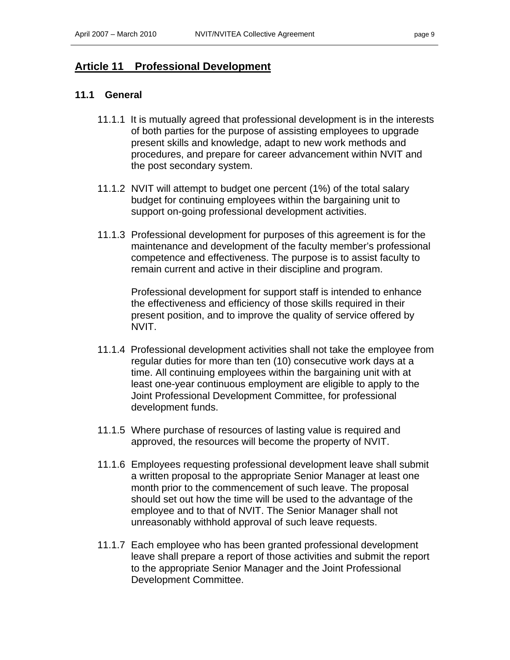### **Article 11 Professional Development**

### **11.1 General**

- 11.1.1 It is mutually agreed that professional development is in the interests of both parties for the purpose of assisting employees to upgrade present skills and knowledge, adapt to new work methods and procedures, and prepare for career advancement within NVIT and the post secondary system.
- 11.1.2 NVIT will attempt to budget one percent (1%) of the total salary budget for continuing employees within the bargaining unit to support on-going professional development activities.
- 11.1.3 Professional development for purposes of this agreement is for the maintenance and development of the faculty member's professional competence and effectiveness. The purpose is to assist faculty to remain current and active in their discipline and program.

Professional development for support staff is intended to enhance the effectiveness and efficiency of those skills required in their present position, and to improve the quality of service offered by NVIT.

- 11.1.4Professional development activities shall not take the employee from regular duties for more than ten (10) consecutive work days at a time. All continuing employees within the bargaining unit with at least one-year continuous employment are eligible to apply to the Joint Professional Development Committee, for professional development funds.
- 11.1.5 Where purchase of resources of lasting value is required and approved, the resources will become the property of NVIT.
- 11.1.6 Employees requesting professional development leave shall submit a written proposal to the appropriate Senior Manager at least one month prior to the commencement of such leave. The proposal should set out how the time will be used to the advantage of the employee and to that of NVIT. The Senior Manager shall not unreasonably withhold approval of such leave requests.
- 11.1.7 Each employee who has been granted professional development leave shall prepare a report of those activities and submit the report to the appropriate Senior Manager and the Joint Professional Development Committee.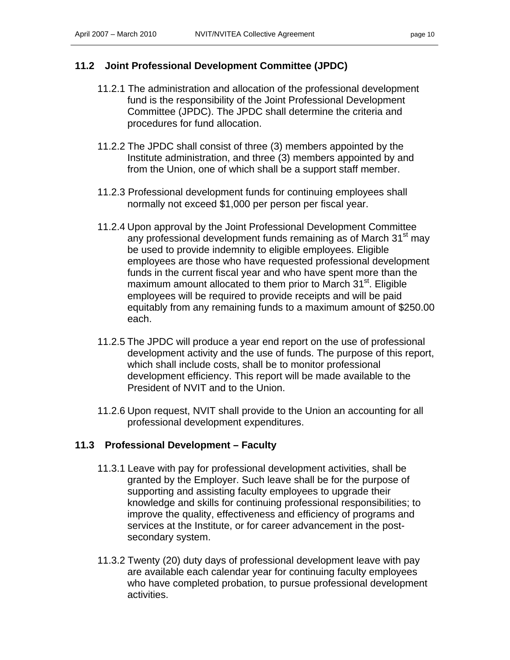### **11.2 Joint Professional Development Committee (JPDC)**

- 11.2.1 The administration and allocation of the professional development fund is the responsibility of the Joint Professional Development Committee (JPDC). The JPDC shall determine the criteria and procedures for fund allocation.
- 11.2.2 The JPDC shall consist of three (3) members appointed by the Institute administration, and three (3) members appointed by and from the Union, one of which shall be a support staff member.
- 11.2.3 Professional development funds for continuing employees shall normally not exceed \$1,000 per person per fiscal year.
- 11.2.4 Upon approval by the Joint Professional Development Committee any professional development funds remaining as of March 31<sup>st</sup> may be used to provide indemnity to eligible employees. Eligible employees are those who have requested professional development funds in the current fiscal year and who have spent more than the maximum amount allocated to them prior to March 31<sup>st</sup>. Eligible employees will be required to provide receipts and will be paid equitably from any remaining funds to a maximum amount of \$250.00 each.
- 11.2.5 The JPDC will produce a year end report on the use of professional development activity and the use of funds. The purpose of this report, which shall include costs, shall be to monitor professional development efficiency. This report will be made available to the President of NVIT and to the Union.
- 11.2.6 Upon request, NVIT shall provide to the Union an accounting for all professional development expenditures.

#### **11.3 Professional Development – Faculty**

- 11.3.1 Leave with pay for professional development activities, shall be granted by the Employer. Such leave shall be for the purpose of supporting and assisting faculty employees to upgrade their knowledge and skills for continuing professional responsibilities; to improve the quality, effectiveness and efficiency of programs and services at the Institute, or for career advancement in the postsecondary system.
- 11.3.2 Twenty (20) duty days of professional development leave with pay are available each calendar year for continuing faculty employees who have completed probation, to pursue professional development activities.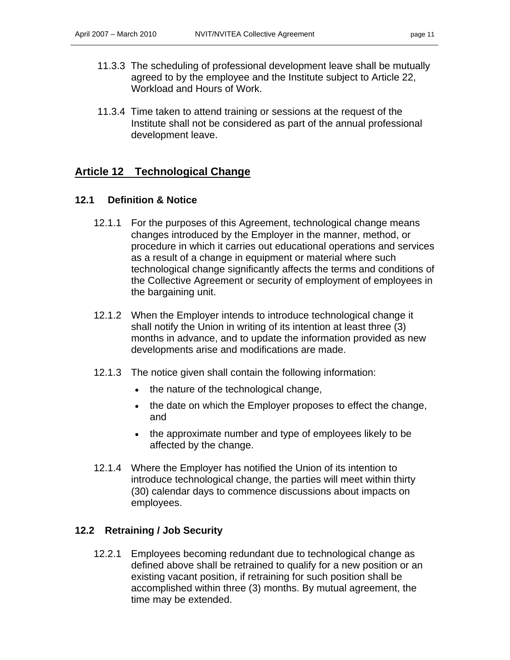- 11.3.3 The scheduling of professional development leave shall be mutually agreed to by the employee and the Institute subject to Article 22, Workload and Hours of Work.
- 11.3.4 Time taken to attend training or sessions at the request of the Institute shall not be considered as part of the annual professional development leave.

### **Article 12 Technological Change**

#### **12.1 Definition & Notice**

- 12.1.1 For the purposes of this Agreement, technological change means changes introduced by the Employer in the manner, method, or procedure in which it carries out educational operations and services as a result of a change in equipment or material where such technological change significantly affects the terms and conditions of the Collective Agreement or security of employment of employees in the bargaining unit.
- 12.1.2 When the Employer intends to introduce technological change it shall notify the Union in writing of its intention at least three (3) months in advance, and to update the information provided as new developments arise and modifications are made.
- 12.1.3 The notice given shall contain the following information:
	- the nature of the technological change,
	- the date on which the Employer proposes to effect the change, and
	- the approximate number and type of employees likely to be affected by the change.
- 12.1.4 Where the Employer has notified the Union of its intention to introduce technological change, the parties will meet within thirty (30) calendar days to commence discussions about impacts on employees.

### **12.2 Retraining / Job Security**

12.2.1 Employees becoming redundant due to technological change as defined above shall be retrained to qualify for a new position or an existing vacant position, if retraining for such position shall be accomplished within three (3) months. By mutual agreement, the time may be extended.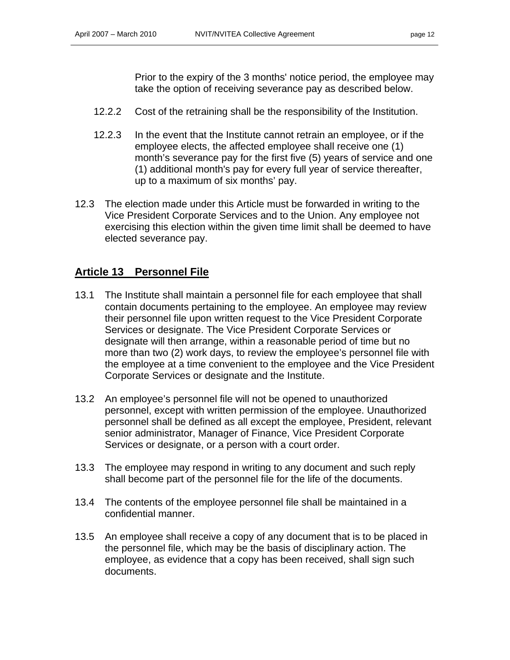Prior to the expiry of the 3 months' notice period, the employee may take the option of receiving severance pay as described below.

- 12.2.2 Cost of the retraining shall be the responsibility of the Institution.
- 12.2.3 In the event that the Institute cannot retrain an employee, or if the employee elects, the affected employee shall receive one (1) month's severance pay for the first five (5) years of service and one (1) additional month's pay for every full year of service thereafter, up to a maximum of six months' pay.
- 12.3 The election made under this Article must be forwarded in writing to the Vice President Corporate Services and to the Union. Any employee not exercising this election within the given time limit shall be deemed to have elected severance pay.

### **Article 13 Personnel File**

- 13.1 The Institute shall maintain a personnel file for each employee that shall contain documents pertaining to the employee. An employee may review their personnel file upon written request to the Vice President Corporate Services or designate. The Vice President Corporate Services or designate will then arrange, within a reasonable period of time but no more than two (2) work days, to review the employee's personnel file with the employee at a time convenient to the employee and the Vice President Corporate Services or designate and the Institute.
- 13.2 An employee's personnel file will not be opened to unauthorized personnel, except with written permission of the employee. Unauthorized personnel shall be defined as all except the employee, President, relevant senior administrator, Manager of Finance, Vice President Corporate Services or designate, or a person with a court order.
- 13.3 The employee may respond in writing to any document and such reply shall become part of the personnel file for the life of the documents.
- 13.4 The contents of the employee personnel file shall be maintained in a confidential manner.
- 13.5 An employee shall receive a copy of any document that is to be placed in the personnel file, which may be the basis of disciplinary action. The employee, as evidence that a copy has been received, shall sign such documents.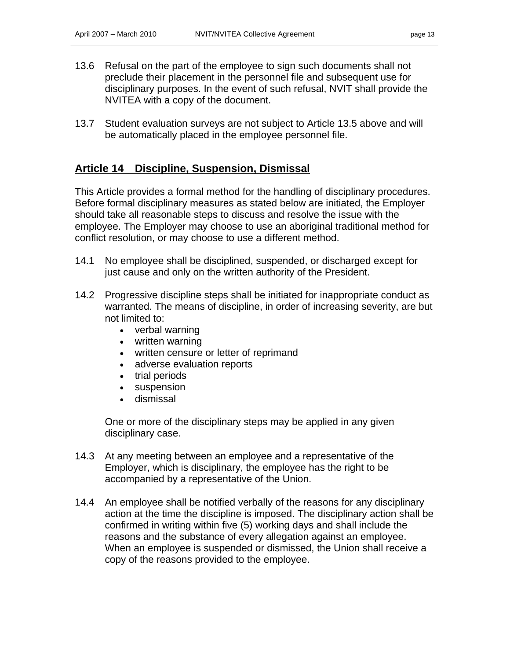- 
- 13.6 Refusal on the part of the employee to sign such documents shall not preclude their placement in the personnel file and subsequent use for disciplinary purposes. In the event of such refusal, NVIT shall provide the NVITEA with a copy of the document.
- 13.7 Student evaluation surveys are not subject to Article 13.5 above and will be automatically placed in the employee personnel file.

### **Article 14 Discipline, Suspension, Dismissal**

This Article provides a formal method for the handling of disciplinary procedures. Before formal disciplinary measures as stated below are initiated, the Employer should take all reasonable steps to discuss and resolve the issue with the employee. The Employer may choose to use an aboriginal traditional method for conflict resolution, or may choose to use a different method.

- 14.1 No employee shall be disciplined, suspended, or discharged except for just cause and only on the written authority of the President.
- 14.2 Progressive discipline steps shall be initiated for inappropriate conduct as warranted. The means of discipline, in order of increasing severity, are but not limited to:
	- verbal warning
	- written warning
	- written censure or letter of reprimand
	- adverse evaluation reports
	- trial periods
	- suspension
	- dismissal

 One or more of the disciplinary steps may be applied in any given disciplinary case.

- 14.3 At any meeting between an employee and a representative of the Employer, which is disciplinary, the employee has the right to be accompanied by a representative of the Union.
- 14.4 An employee shall be notified verbally of the reasons for any disciplinary action at the time the discipline is imposed. The disciplinary action shall be confirmed in writing within five (5) working days and shall include the reasons and the substance of every allegation against an employee. When an employee is suspended or dismissed, the Union shall receive a copy of the reasons provided to the employee.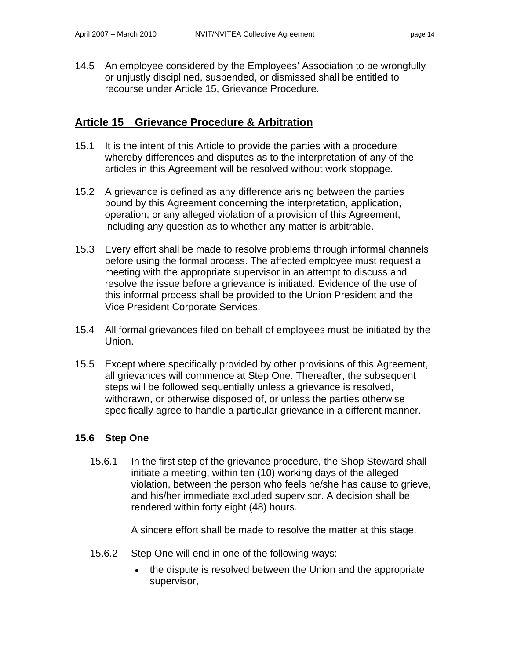14.5 An employee considered by the Employees' Association to be wrongfully or unjustly disciplined, suspended, or dismissed shall be entitled to recourse under Article 15, Grievance Procedure.

### **Article 15 Grievance Procedure & Arbitration**

- 15.1 It is the intent of this Article to provide the parties with a procedure whereby differences and disputes as to the interpretation of any of the articles in this Agreement will be resolved without work stoppage.
- 15.2 A grievance is defined as any difference arising between the parties bound by this Agreement concerning the interpretation, application, operation, or any alleged violation of a provision of this Agreement, including any question as to whether any matter is arbitrable.
- 15.3 Every effort shall be made to resolve problems through informal channels before using the formal process. The affected employee must request a meeting with the appropriate supervisor in an attempt to discuss and resolve the issue before a grievance is initiated. Evidence of the use of this informal process shall be provided to the Union President and the Vice President Corporate Services.
- 15.4 All formal grievances filed on behalf of employees must be initiated by the Union.
- 15.5 Except where specifically provided by other provisions of this Agreement, all grievances will commence at Step One. Thereafter, the subsequent steps will be followed sequentially unless a grievance is resolved, withdrawn, or otherwise disposed of, or unless the parties otherwise specifically agree to handle a particular grievance in a different manner.

#### **15.6 Step One**

15.6.1 In the first step of the grievance procedure, the Shop Steward shall initiate a meeting, within ten (10) working days of the alleged violation, between the person who feels he/she has cause to grieve, and his/her immediate excluded supervisor. A decision shall be rendered within forty eight (48) hours.

A sincere effort shall be made to resolve the matter at this stage.

- 15.6.2 Step One will end in one of the following ways:
	- the dispute is resolved between the Union and the appropriate supervisor,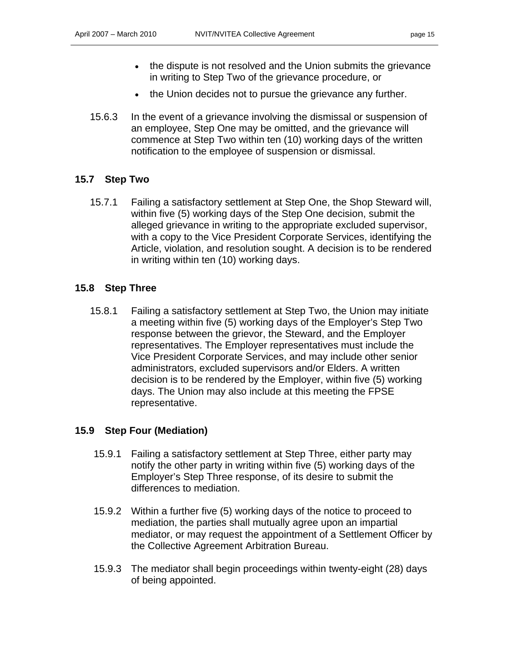- the dispute is not resolved and the Union submits the grievance in writing to Step Two of the grievance procedure, or
- the Union decides not to pursue the grievance any further.
- 15.6.3 In the event of a grievance involving the dismissal or suspension of an employee, Step One may be omitted, and the grievance will commence at Step Two within ten (10) working days of the written notification to the employee of suspension or dismissal.

### **15.7 Step Two**

15.7.1 Failing a satisfactory settlement at Step One, the Shop Steward will, within five (5) working days of the Step One decision, submit the alleged grievance in writing to the appropriate excluded supervisor, with a copy to the Vice President Corporate Services, identifying the Article, violation, and resolution sought. A decision is to be rendered in writing within ten (10) working days.

### **15.8 Step Three**

15.8.1 Failing a satisfactory settlement at Step Two, the Union may initiate a meeting within five (5) working days of the Employer's Step Two response between the grievor, the Steward, and the Employer representatives. The Employer representatives must include the Vice President Corporate Services, and may include other senior administrators, excluded supervisors and/or Elders. A written decision is to be rendered by the Employer, within five (5) working days. The Union may also include at this meeting the FPSE representative.

#### **15.9 Step Four (Mediation)**

- 15.9.1 Failing a satisfactory settlement at Step Three, either party may notify the other party in writing within five (5) working days of the Employer's Step Three response, of its desire to submit the differences to mediation.
- 15.9.2 Within a further five (5) working days of the notice to proceed to mediation, the parties shall mutually agree upon an impartial mediator, or may request the appointment of a Settlement Officer by the Collective Agreement Arbitration Bureau.
- 15.9.3 The mediator shall begin proceedings within twenty-eight (28) days of being appointed.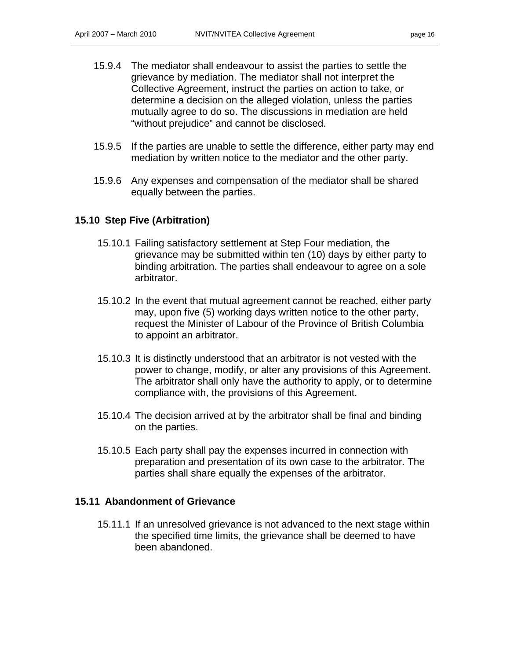- 15.9.4 The mediator shall endeavour to assist the parties to settle the grievance by mediation. The mediator shall not interpret the Collective Agreement, instruct the parties on action to take, or determine a decision on the alleged violation, unless the parties mutually agree to do so. The discussions in mediation are held "without prejudice" and cannot be disclosed.
- 15.9.5 If the parties are unable to settle the difference, either party may end mediation by written notice to the mediator and the other party.
- 15.9.6 Any expenses and compensation of the mediator shall be shared equally between the parties.

#### **15.10 Step Five (Arbitration)**

- 15.10.1 Failing satisfactory settlement at Step Four mediation, the grievance may be submitted within ten (10) days by either party to binding arbitration. The parties shall endeavour to agree on a sole arbitrator.
- 15.10.2 In the event that mutual agreement cannot be reached, either party may, upon five (5) working days written notice to the other party, request the Minister of Labour of the Province of British Columbia to appoint an arbitrator.
- 15.10.3 It is distinctly understood that an arbitrator is not vested with the power to change, modify, or alter any provisions of this Agreement. The arbitrator shall only have the authority to apply, or to determine compliance with, the provisions of this Agreement.
- 15.10.4 The decision arrived at by the arbitrator shall be final and binding on the parties.
- 15.10.5 Each party shall pay the expenses incurred in connection with preparation and presentation of its own case to the arbitrator. The parties shall share equally the expenses of the arbitrator.

#### **15.11 Abandonment of Grievance**

15.11.1 If an unresolved grievance is not advanced to the next stage within the specified time limits, the grievance shall be deemed to have been abandoned.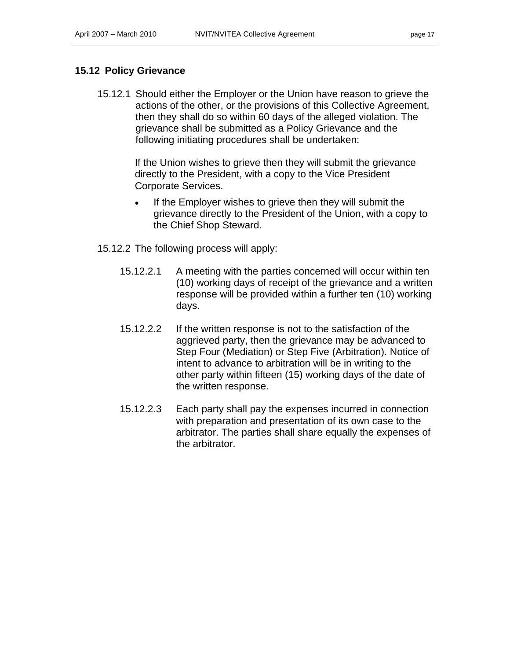#### **15.12 Policy Grievance**

15.12.1 Should either the Employer or the Union have reason to grieve the actions of the other, or the provisions of this Collective Agreement, then they shall do so within 60 days of the alleged violation. The grievance shall be submitted as a Policy Grievance and the following initiating procedures shall be undertaken:

> If the Union wishes to grieve then they will submit the grievance directly to the President, with a copy to the Vice President Corporate Services.

- If the Employer wishes to grieve then they will submit the grievance directly to the President of the Union, with a copy to the Chief Shop Steward.
- 15.12.2 The following process will apply:
	- 15.12.2.1 A meeting with the parties concerned will occur within ten (10) working days of receipt of the grievance and a written response will be provided within a further ten (10) working days.
	- 15.12.2.2 If the written response is not to the satisfaction of the aggrieved party, then the grievance may be advanced to Step Four (Mediation) or Step Five (Arbitration). Notice of intent to advance to arbitration will be in writing to the other party within fifteen (15) working days of the date of the written response.
	- 15.12.2.3 Each party shall pay the expenses incurred in connection with preparation and presentation of its own case to the arbitrator. The parties shall share equally the expenses of the arbitrator.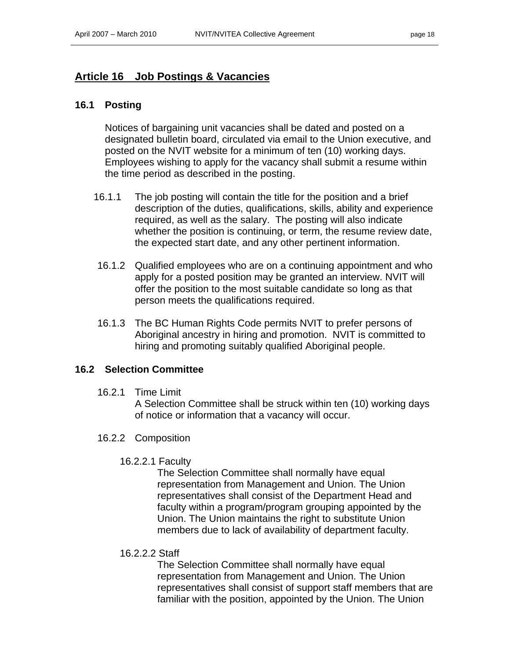### **Article 16 Job Postings & Vacancies**

#### **16.1 Posting**

Notices of bargaining unit vacancies shall be dated and posted on a designated bulletin board, circulated via email to the Union executive, and posted on the NVIT website for a minimum of ten (10) working days. Employees wishing to apply for the vacancy shall submit a resume within the time period as described in the posting.

- 16.1.1 The job posting will contain the title for the position and a brief description of the duties, qualifications, skills, ability and experience required, as well as the salary. The posting will also indicate whether the position is continuing, or term, the resume review date, the expected start date, and any other pertinent information.
- 16.1.2 Qualified employees who are on a continuing appointment and who apply for a posted position may be granted an interview. NVIT will offer the position to the most suitable candidate so long as that person meets the qualifications required.
- 16.1.3 The BC Human Rights Code permits NVIT to prefer persons of Aboriginal ancestry in hiring and promotion. NVIT is committed to hiring and promoting suitably qualified Aboriginal people.

#### **16.2 Selection Committee**

16.2.1 Time Limit

A Selection Committee shall be struck within ten (10) working days of notice or information that a vacancy will occur.

- 16.2.2 Composition
	- 16.2.2.1 Faculty

The Selection Committee shall normally have equal representation from Management and Union. The Union representatives shall consist of the Department Head and faculty within a program/program grouping appointed by the Union. The Union maintains the right to substitute Union members due to lack of availability of department faculty.

16.2.2.2 Staff

The Selection Committee shall normally have equal representation from Management and Union. The Union representatives shall consist of support staff members that are familiar with the position, appointed by the Union. The Union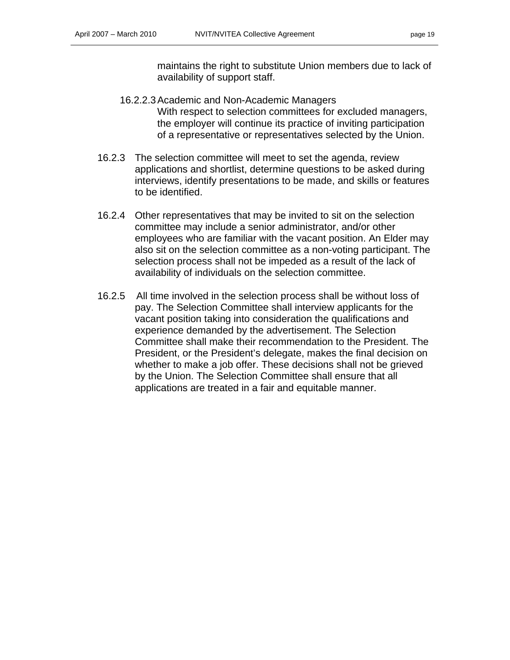maintains the right to substitute Union members due to lack of availability of support staff.

- 16.2.2.3 Academic and Non-Academic Managers With respect to selection committees for excluded managers, the employer will continue its practice of inviting participation of a representative or representatives selected by the Union.
- 16.2.3 The selection committee will meet to set the agenda, review applications and shortlist, determine questions to be asked during interviews, identify presentations to be made, and skills or features to be identified.
- 16.2.4 Other representatives that may be invited to sit on the selection committee may include a senior administrator, and/or other employees who are familiar with the vacant position. An Elder may also sit on the selection committee as a non-voting participant. The selection process shall not be impeded as a result of the lack of availability of individuals on the selection committee.
- 16.2.5 All time involved in the selection process shall be without loss of pay. The Selection Committee shall interview applicants for the vacant position taking into consideration the qualifications and experience demanded by the advertisement. The Selection Committee shall make their recommendation to the President. The President, or the President's delegate, makes the final decision on whether to make a job offer. These decisions shall not be grieved by the Union. The Selection Committee shall ensure that all applications are treated in a fair and equitable manner.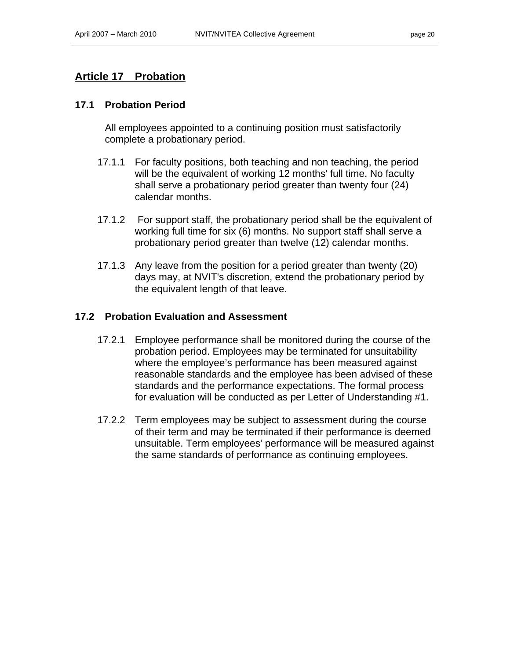### **Article 17 Probation**

#### **17.1 Probation Period**

All employees appointed to a continuing position must satisfactorily complete a probationary period.

- 17.1.1 For faculty positions, both teaching and non teaching, the period will be the equivalent of working 12 months' full time. No faculty shall serve a probationary period greater than twenty four (24) calendar months.
- 17.1.2 For support staff, the probationary period shall be the equivalent of working full time for six (6) months. No support staff shall serve a probationary period greater than twelve (12) calendar months.
- 17.1.3 Any leave from the position for a period greater than twenty (20) days may, at NVIT's discretion, extend the probationary period by the equivalent length of that leave.

### **17.2 Probation Evaluation and Assessment**

- 17.2.1 Employee performance shall be monitored during the course of the probation period. Employees may be terminated for unsuitability where the employee's performance has been measured against reasonable standards and the employee has been advised of these standards and the performance expectations. The formal process for evaluation will be conducted as per Letter of Understanding #1.
- 17.2.2 Term employees may be subject to assessment during the course of their term and may be terminated if their performance is deemed unsuitable. Term employees' performance will be measured against the same standards of performance as continuing employees.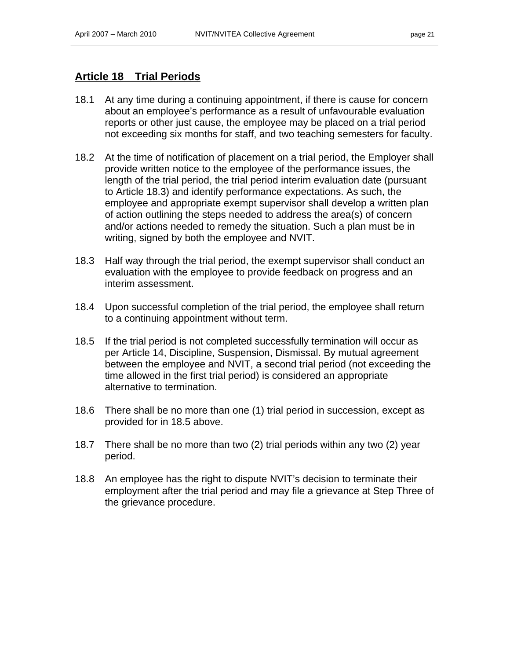### **Article 18 Trial Periods**

- 18.1 At any time during a continuing appointment, if there is cause for concern about an employee's performance as a result of unfavourable evaluation reports or other just cause, the employee may be placed on a trial period not exceeding six months for staff, and two teaching semesters for faculty.
- 18.2 At the time of notification of placement on a trial period, the Employer shall provide written notice to the employee of the performance issues, the length of the trial period, the trial period interim evaluation date (pursuant to Article 18.3) and identify performance expectations. As such, the employee and appropriate exempt supervisor shall develop a written plan of action outlining the steps needed to address the area(s) of concern and/or actions needed to remedy the situation. Such a plan must be in writing, signed by both the employee and NVIT.
- 18.3 Half way through the trial period, the exempt supervisor shall conduct an evaluation with the employee to provide feedback on progress and an interim assessment.
- 18.4 Upon successful completion of the trial period, the employee shall return to a continuing appointment without term.
- 18.5 If the trial period is not completed successfully termination will occur as per Article 14, Discipline, Suspension, Dismissal. By mutual agreement between the employee and NVIT, a second trial period (not exceeding the time allowed in the first trial period) is considered an appropriate alternative to termination.
- 18.6 There shall be no more than one (1) trial period in succession, except as provided for in 18.5 above.
- 18.7 There shall be no more than two (2) trial periods within any two (2) year period.
- 18.8 An employee has the right to dispute NVIT's decision to terminate their employment after the trial period and may file a grievance at Step Three of the grievance procedure.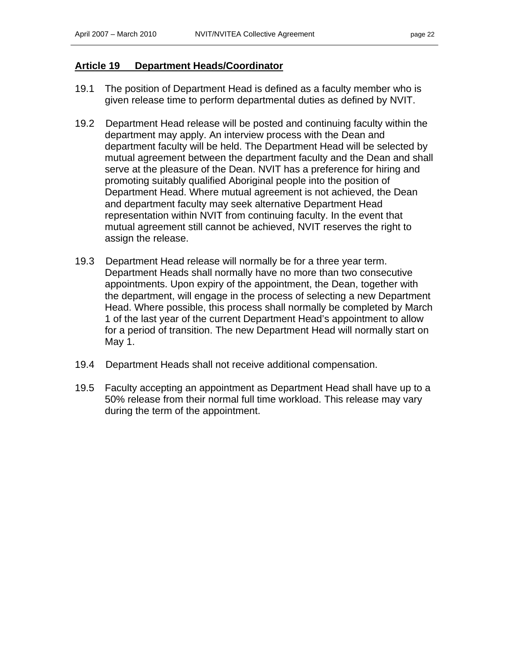#### **Article 19 Department Heads/Coordinator**

- 19.1 The position of Department Head is defined as a faculty member who is given release time to perform departmental duties as defined by NVIT.
- 19.2 Department Head release will be posted and continuing faculty within the department may apply. An interview process with the Dean and department faculty will be held. The Department Head will be selected by mutual agreement between the department faculty and the Dean and shall serve at the pleasure of the Dean. NVIT has a preference for hiring and promoting suitably qualified Aboriginal people into the position of Department Head. Where mutual agreement is not achieved, the Dean and department faculty may seek alternative Department Head representation within NVIT from continuing faculty. In the event that mutual agreement still cannot be achieved, NVIT reserves the right to assign the release.
- 19.3 Department Head release will normally be for a three year term. Department Heads shall normally have no more than two consecutive appointments. Upon expiry of the appointment, the Dean, together with the department, will engage in the process of selecting a new Department Head. Where possible, this process shall normally be completed by March 1 of the last year of the current Department Head's appointment to allow for a period of transition. The new Department Head will normally start on May 1.
- 19.4 Department Heads shall not receive additional compensation.
- 19.5 Faculty accepting an appointment as Department Head shall have up to a 50% release from their normal full time workload. This release may vary during the term of the appointment.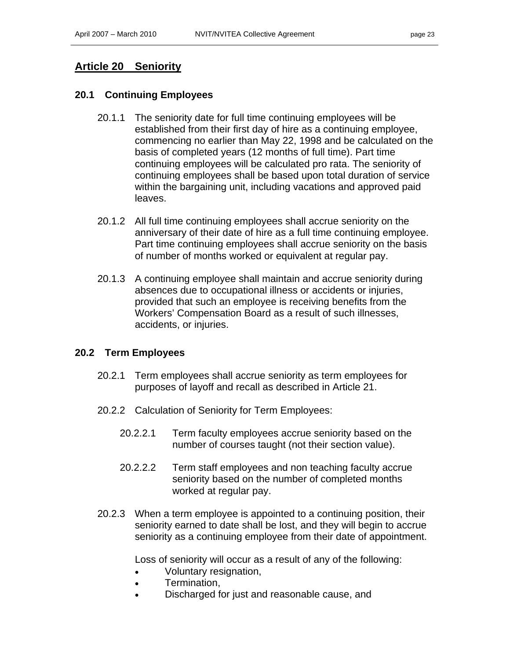### **Article 20 Seniority**

#### **20.1 Continuing Employees**

- 20.1.1 The seniority date for full time continuing employees will be established from their first day of hire as a continuing employee, commencing no earlier than May 22, 1998 and be calculated on the basis of completed years (12 months of full time). Part time continuing employees will be calculated pro rata. The seniority of continuing employees shall be based upon total duration of service within the bargaining unit, including vacations and approved paid leaves.
- 20.1.2 All full time continuing employees shall accrue seniority on the anniversary of their date of hire as a full time continuing employee. Part time continuing employees shall accrue seniority on the basis of number of months worked or equivalent at regular pay.
- 20.1.3 A continuing employee shall maintain and accrue seniority during absences due to occupational illness or accidents or injuries, provided that such an employee is receiving benefits from the Workers' Compensation Board as a result of such illnesses, accidents, or injuries.

#### **20.2 Term Employees**

- 20.2.1 Term employees shall accrue seniority as term employees for purposes of layoff and recall as described in Article 21.
- 20.2.2 Calculation of Seniority for Term Employees:
	- 20.2.2.1 Term faculty employees accrue seniority based on the number of courses taught (not their section value).
	- 20.2.2.2 Term staff employees and non teaching faculty accrue seniority based on the number of completed months worked at regular pay.
- 20.2.3 When a term employee is appointed to a continuing position, their seniority earned to date shall be lost, and they will begin to accrue seniority as a continuing employee from their date of appointment.

Loss of seniority will occur as a result of any of the following:

- Voluntary resignation,
- Termination,
- Discharged for just and reasonable cause, and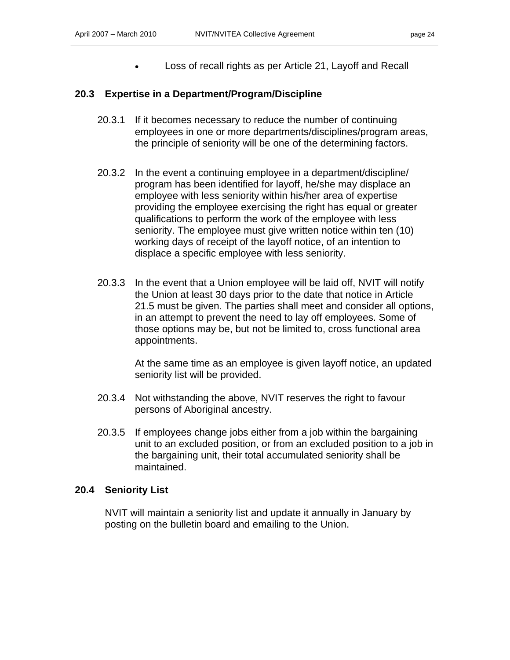• Loss of recall rights as per Article 21, Layoff and Recall

### **20.3 Expertise in a Department/Program/Discipline**

- 20.3.1 If it becomes necessary to reduce the number of continuing employees in one or more departments/disciplines/program areas, the principle of seniority will be one of the determining factors.
- 20.3.2 In the event a continuing employee in a department/discipline/ program has been identified for layoff, he/she may displace an employee with less seniority within his/her area of expertise providing the employee exercising the right has equal or greater qualifications to perform the work of the employee with less seniority. The employee must give written notice within ten (10) working days of receipt of the layoff notice, of an intention to displace a specific employee with less seniority.
- 20.3.3 In the event that a Union employee will be laid off, NVIT will notify the Union at least 30 days prior to the date that notice in Article 21.5 must be given. The parties shall meet and consider all options, in an attempt to prevent the need to lay off employees. Some of those options may be, but not be limited to, cross functional area appointments.

At the same time as an employee is given layoff notice, an updated seniority list will be provided.

- 20.3.4 Not withstanding the above, NVIT reserves the right to favour persons of Aboriginal ancestry.
- 20.3.5 If employees change jobs either from a job within the bargaining unit to an excluded position, or from an excluded position to a job in the bargaining unit, their total accumulated seniority shall be maintained.

#### **20.4 Seniority List**

NVIT will maintain a seniority list and update it annually in January by posting on the bulletin board and emailing to the Union.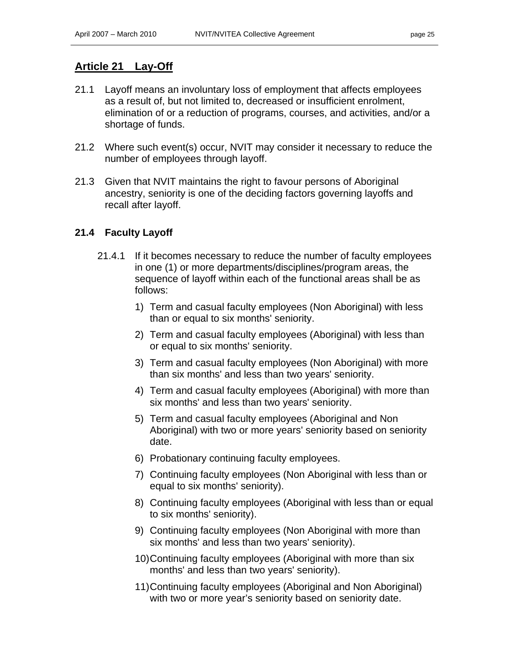### **Article 21 Lay-Off**

- 21.1 Layoff means an involuntary loss of employment that affects employees as a result of, but not limited to, decreased or insufficient enrolment, elimination of or a reduction of programs, courses, and activities, and/or a shortage of funds.
- 21.2 Where such event(s) occur, NVIT may consider it necessary to reduce the number of employees through layoff.
- 21.3 Given that NVIT maintains the right to favour persons of Aboriginal ancestry, seniority is one of the deciding factors governing layoffs and recall after layoff.

### **21.4 Faculty Layoff**

- 21.4.1 If it becomes necessary to reduce the number of faculty employees in one (1) or more departments/disciplines/program areas, the sequence of layoff within each of the functional areas shall be as follows:
	- 1) Term and casual faculty employees (Non Aboriginal) with less than or equal to six months' seniority.
	- 2) Term and casual faculty employees (Aboriginal) with less than or equal to six months' seniority.
	- 3) Term and casual faculty employees (Non Aboriginal) with more than six months' and less than two years' seniority.
	- 4) Term and casual faculty employees (Aboriginal) with more than six months' and less than two years' seniority.
	- 5) Term and casual faculty employees (Aboriginal and Non Aboriginal) with two or more years' seniority based on seniority date.
	- 6) Probationary continuing faculty employees.
	- 7) Continuing faculty employees (Non Aboriginal with less than or equal to six months' seniority).
	- 8) Continuing faculty employees (Aboriginal with less than or equal to six months' seniority).
	- 9) Continuing faculty employees (Non Aboriginal with more than six months' and less than two years' seniority).
	- 10) Continuing faculty employees (Aboriginal with more than six months' and less than two years' seniority).
	- 11) Continuing faculty employees (Aboriginal and Non Aboriginal) with two or more year's seniority based on seniority date.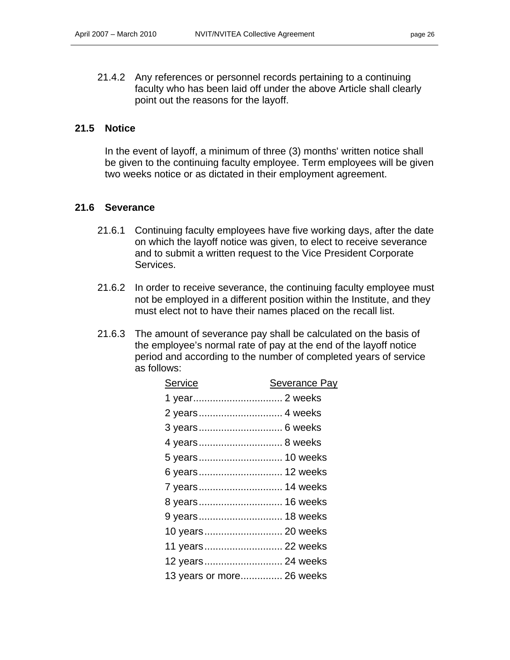21.4.2 Any references or personnel records pertaining to a continuing faculty who has been laid off under the above Article shall clearly point out the reasons for the layoff.

#### **21.5 Notice**

In the event of layoff, a minimum of three (3) months' written notice shall be given to the continuing faculty employee. Term employees will be given two weeks notice or as dictated in their employment agreement.

#### **21.6 Severance**

- 21.6.1 Continuing faculty employees have five working days, after the date on which the layoff notice was given, to elect to receive severance and to submit a written request to the Vice President Corporate Services.
- 21.6.2 In order to receive severance, the continuing faculty employee must not be employed in a different position within the Institute, and they must elect not to have their names placed on the recall list.
- 21.6.3 The amount of severance pay shall be calculated on the basis of the employee's normal rate of pay at the end of the layoff notice period and according to the number of completed years of service as follows:

| <b>Service</b>            | Severance Pay |
|---------------------------|---------------|
|                           |               |
| 2 years 4 weeks           |               |
|                           |               |
| 4 years 8 weeks           |               |
| 5 years 10 weeks          |               |
| 6 years 12 weeks          |               |
| 7 years 14 weeks          |               |
| 8 years 16 weeks          |               |
| 9 years 18 weeks          |               |
| 10 years 20 weeks         |               |
| 11 years 22 weeks         |               |
| 12 years 24 weeks         |               |
| 13 years or more 26 weeks |               |
|                           |               |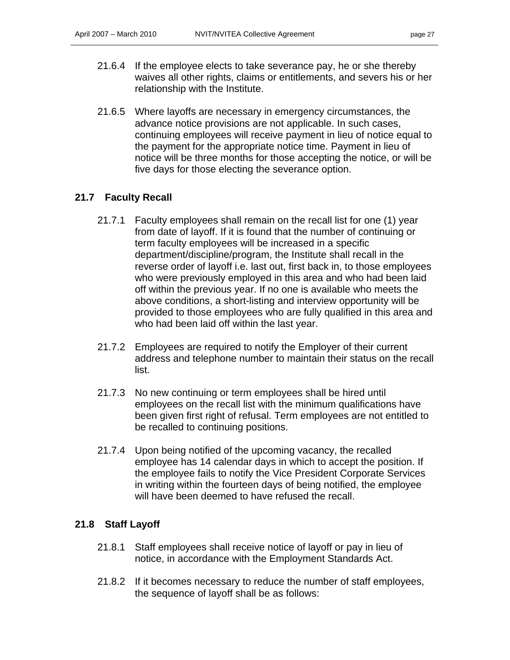- 21.6.4 If the employee elects to take severance pay, he or she thereby waives all other rights, claims or entitlements, and severs his or her relationship with the Institute.
- 21.6.5 Where layoffs are necessary in emergency circumstances, the advance notice provisions are not applicable. In such cases, continuing employees will receive payment in lieu of notice equal to the payment for the appropriate notice time. Payment in lieu of notice will be three months for those accepting the notice, or will be five days for those electing the severance option.

### **21.7 Faculty Recall**

- 21.7.1 Faculty employees shall remain on the recall list for one (1) year from date of layoff. If it is found that the number of continuing or term faculty employees will be increased in a specific department/discipline/program, the Institute shall recall in the reverse order of layoff i.e. last out, first back in, to those employees who were previously employed in this area and who had been laid off within the previous year. If no one is available who meets the above conditions, a short-listing and interview opportunity will be provided to those employees who are fully qualified in this area and who had been laid off within the last year.
- 21.7.2 Employees are required to notify the Employer of their current address and telephone number to maintain their status on the recall list.
- 21.7.3 No new continuing or term employees shall be hired until employees on the recall list with the minimum qualifications have been given first right of refusal. Term employees are not entitled to be recalled to continuing positions.
- 21.7.4 Upon being notified of the upcoming vacancy, the recalled employee has 14 calendar days in which to accept the position. If the employee fails to notify the Vice President Corporate Services in writing within the fourteen days of being notified, the employee will have been deemed to have refused the recall.

#### **21.8 Staff Layoff**

- 21.8.1 Staff employees shall receive notice of layoff or pay in lieu of notice, in accordance with the Employment Standards Act.
- 21.8.2 If it becomes necessary to reduce the number of staff employees, the sequence of layoff shall be as follows: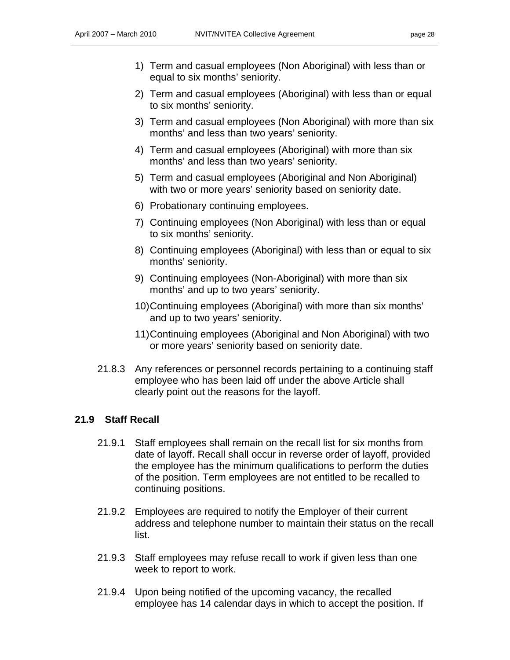- 1) Term and casual employees (Non Aboriginal) with less than or equal to six months' seniority.
- 2) Term and casual employees (Aboriginal) with less than or equal to six months' seniority.
- 3) Term and casual employees (Non Aboriginal) with more than six months' and less than two years' seniority.
- 4) Term and casual employees (Aboriginal) with more than six months' and less than two years' seniority.
- 5) Term and casual employees (Aboriginal and Non Aboriginal) with two or more years' seniority based on seniority date.
- 6) Probationary continuing employees.
- 7) Continuing employees (Non Aboriginal) with less than or equal to six months' seniority.
- 8) Continuing employees (Aboriginal) with less than or equal to six months' seniority.
- 9) Continuing employees (Non-Aboriginal) with more than six months' and up to two years' seniority.
- 10) Continuing employees (Aboriginal) with more than six months' and up to two years' seniority.
- 11) Continuing employees (Aboriginal and Non Aboriginal) with two or more years' seniority based on seniority date.
- 21.8.3 Any references or personnel records pertaining to a continuing staff employee who has been laid off under the above Article shall clearly point out the reasons for the layoff.

#### **21.9 Staff Recall**

- 21.9.1 Staff employees shall remain on the recall list for six months from date of layoff. Recall shall occur in reverse order of layoff, provided the employee has the minimum qualifications to perform the duties of the position. Term employees are not entitled to be recalled to continuing positions.
- 21.9.2 Employees are required to notify the Employer of their current address and telephone number to maintain their status on the recall list.
- 21.9.3 Staff employees may refuse recall to work if given less than one week to report to work.
- 21.9.4 Upon being notified of the upcoming vacancy, the recalled employee has 14 calendar days in which to accept the position. If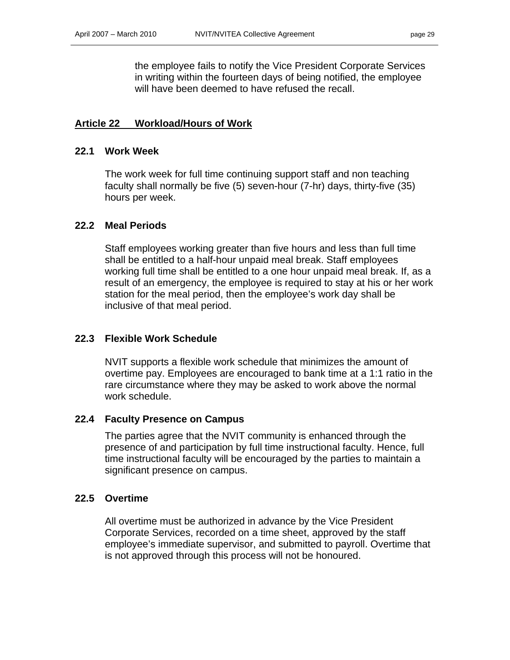the employee fails to notify the Vice President Corporate Services in writing within the fourteen days of being notified, the employee will have been deemed to have refused the recall.

#### **Article 22 Workload/Hours of Work**

#### **22.1 Work Week**

The work week for full time continuing support staff and non teaching faculty shall normally be five (5) seven-hour (7-hr) days, thirty-five (35) hours per week.

#### **22.2 Meal Periods**

Staff employees working greater than five hours and less than full time shall be entitled to a half-hour unpaid meal break. Staff employees working full time shall be entitled to a one hour unpaid meal break. If, as a result of an emergency, the employee is required to stay at his or her work station for the meal period, then the employee's work day shall be inclusive of that meal period.

#### **22.3 Flexible Work Schedule**

NVIT supports a flexible work schedule that minimizes the amount of overtime pay. Employees are encouraged to bank time at a 1:1 ratio in the rare circumstance where they may be asked to work above the normal work schedule.

#### **22.4 Faculty Presence on Campus**

The parties agree that the NVIT community is enhanced through the presence of and participation by full time instructional faculty. Hence, full time instructional faculty will be encouraged by the parties to maintain a significant presence on campus.

#### **22.5 Overtime**

All overtime must be authorized in advance by the Vice President Corporate Services, recorded on a time sheet, approved by the staff employee's immediate supervisor, and submitted to payroll. Overtime that is not approved through this process will not be honoured.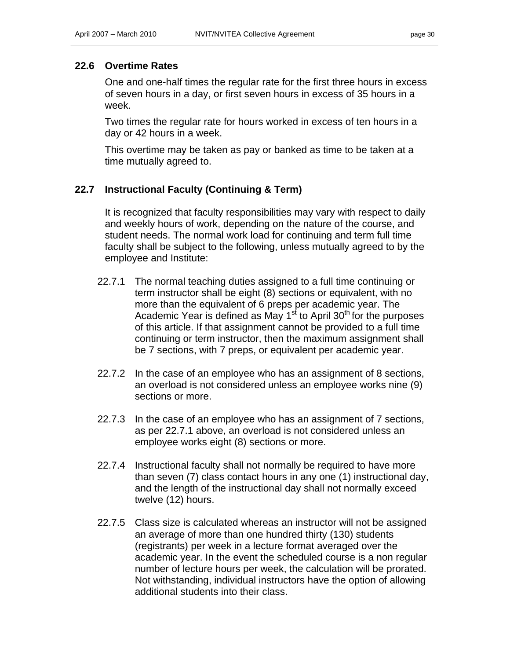### **22.6 Overtime Rates**

One and one-half times the regular rate for the first three hours in excess of seven hours in a day, or first seven hours in excess of 35 hours in a week.

Two times the regular rate for hours worked in excess of ten hours in a day or 42 hours in a week.

This overtime may be taken as pay or banked as time to be taken at a time mutually agreed to.

### **22.7 Instructional Faculty (Continuing & Term)**

It is recognized that faculty responsibilities may vary with respect to daily and weekly hours of work, depending on the nature of the course, and student needs. The normal work load for continuing and term full time faculty shall be subject to the following, unless mutually agreed to by the employee and Institute:

- 22.7.1 The normal teaching duties assigned to a full time continuing or term instructor shall be eight (8) sections or equivalent, with no more than the equivalent of 6 preps per academic year. The Academic Year is defined as May  $1<sup>st</sup>$  to April 30<sup>th</sup> for the purposes of this article. If that assignment cannot be provided to a full time continuing or term instructor, then the maximum assignment shall be 7 sections, with 7 preps, or equivalent per academic year.
- 22.7.2 In the case of an employee who has an assignment of 8 sections, an overload is not considered unless an employee works nine (9) sections or more.
- 22.7.3 In the case of an employee who has an assignment of 7 sections, as per 22.7.1 above, an overload is not considered unless an employee works eight (8) sections or more.
- 22.7.4 Instructional faculty shall not normally be required to have more than seven (7) class contact hours in any one (1) instructional day, and the length of the instructional day shall not normally exceed twelve (12) hours.
- 22.7.5 Class size is calculated whereas an instructor will not be assigned an average of more than one hundred thirty (130) students (registrants) per week in a lecture format averaged over the academic year. In the event the scheduled course is a non regular number of lecture hours per week, the calculation will be prorated. Not withstanding, individual instructors have the option of allowing additional students into their class.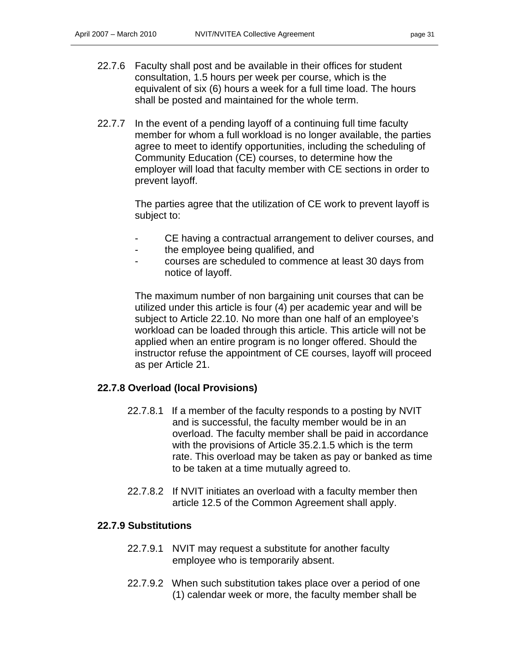- 22.7.6 Faculty shall post and be available in their offices for student consultation, 1.5 hours per week per course, which is the equivalent of six (6) hours a week for a full time load. The hours shall be posted and maintained for the whole term.
- 22.7.7 In the event of a pending layoff of a continuing full time faculty member for whom a full workload is no longer available, the parties agree to meet to identify opportunities, including the scheduling of Community Education (CE) courses, to determine how the employer will load that faculty member with CE sections in order to prevent layoff.

The parties agree that the utilization of CE work to prevent layoff is subject to:

- CE having a contractual arrangement to deliver courses, and
- the employee being qualified, and
- courses are scheduled to commence at least 30 days from notice of layoff.

The maximum number of non bargaining unit courses that can be utilized under this article is four (4) per academic year and will be subject to Article 22.10. No more than one half of an employee's workload can be loaded through this article. This article will not be applied when an entire program is no longer offered. Should the instructor refuse the appointment of CE courses, layoff will proceed as per Article 21.

### **22.7.8 Overload (local Provisions)**

- 22.7.8.1 If a member of the faculty responds to a posting by NVIT and is successful, the faculty member would be in an overload. The faculty member shall be paid in accordance with the provisions of Article 35.2.1.5 which is the term rate. This overload may be taken as pay or banked as time to be taken at a time mutually agreed to.
- 22.7.8.2 If NVIT initiates an overload with a faculty member then article 12.5 of the Common Agreement shall apply.

#### **22.7.9 Substitutions**

- 22.7.9.1 NVIT may request a substitute for another faculty employee who is temporarily absent.
- 22.7.9.2 When such substitution takes place over a period of one (1) calendar week or more, the faculty member shall be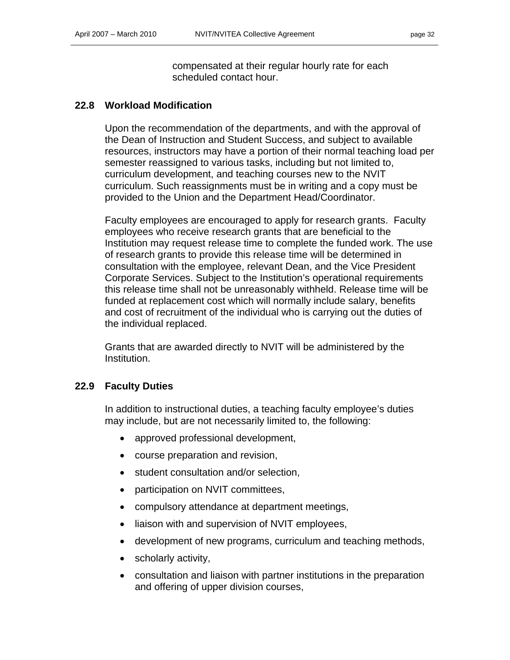compensated at their regular hourly rate for each scheduled contact hour.

#### **22.8 Workload Modification**

Upon the recommendation of the departments, and with the approval of the Dean of Instruction and Student Success, and subject to available resources, instructors may have a portion of their normal teaching load per semester reassigned to various tasks, including but not limited to, curriculum development, and teaching courses new to the NVIT curriculum. Such reassignments must be in writing and a copy must be provided to the Union and the Department Head/Coordinator.

Faculty employees are encouraged to apply for research grants. Faculty employees who receive research grants that are beneficial to the Institution may request release time to complete the funded work. The use of research grants to provide this release time will be determined in consultation with the employee, relevant Dean, and the Vice President Corporate Services. Subject to the Institution's operational requirements this release time shall not be unreasonably withheld. Release time will be funded at replacement cost which will normally include salary, benefits and cost of recruitment of the individual who is carrying out the duties of the individual replaced.

Grants that are awarded directly to NVIT will be administered by the Institution.

### **22.9 Faculty Duties**

In addition to instructional duties, a teaching faculty employee's duties may include, but are not necessarily limited to, the following:

- approved professional development,
- course preparation and revision,
- student consultation and/or selection,
- participation on NVIT committees,
- compulsory attendance at department meetings,
- liaison with and supervision of NVIT employees,
- development of new programs, curriculum and teaching methods,
- scholarly activity,
- consultation and liaison with partner institutions in the preparation and offering of upper division courses,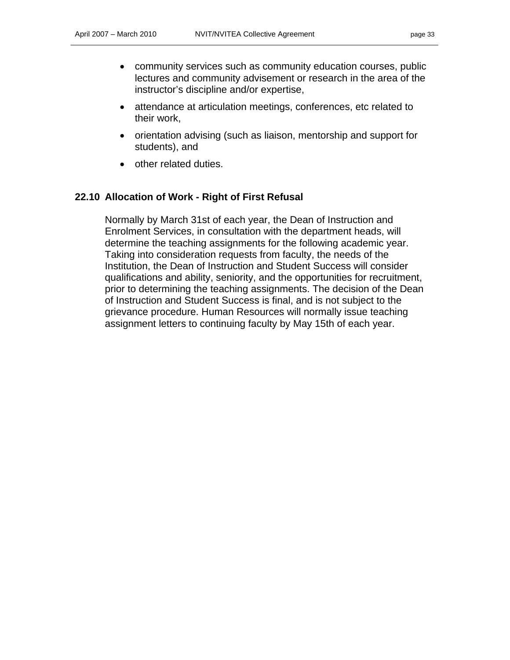- community services such as community education courses, public lectures and community advisement or research in the area of the instructor's discipline and/or expertise,
- attendance at articulation meetings, conferences, etc related to their work,
- orientation advising (such as liaison, mentorship and support for students), and
- other related duties.

#### **22.10 Allocation of Work - Right of First Refusal**

Normally by March 31st of each year, the Dean of Instruction and Enrolment Services, in consultation with the department heads, will determine the teaching assignments for the following academic year. Taking into consideration requests from faculty, the needs of the Institution, the Dean of Instruction and Student Success will consider qualifications and ability, seniority, and the opportunities for recruitment, prior to determining the teaching assignments. The decision of the Dean of Instruction and Student Success is final, and is not subject to the grievance procedure. Human Resources will normally issue teaching assignment letters to continuing faculty by May 15th of each year.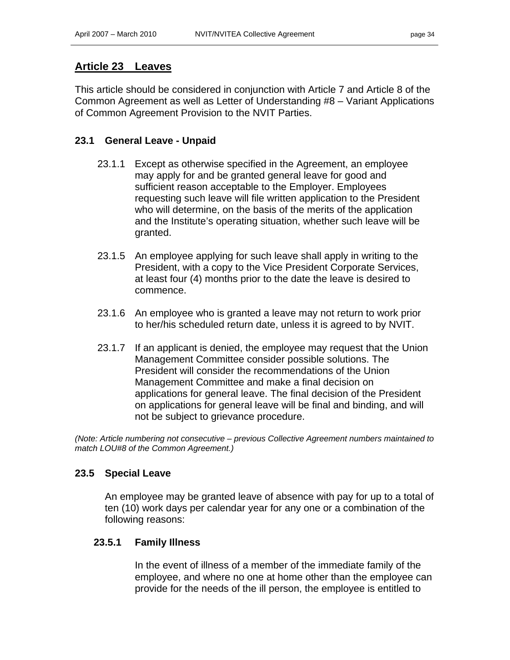### **Article 23 Leaves**

This article should be considered in conjunction with Article 7 and Article 8 of the Common Agreement as well as Letter of Understanding #8 – Variant Applications of Common Agreement Provision to the NVIT Parties.

### **23.1 General Leave - Unpaid**

- 23.1.1 Except as otherwise specified in the Agreement, an employee may apply for and be granted general leave for good and sufficient reason acceptable to the Employer. Employees requesting such leave will file written application to the President who will determine, on the basis of the merits of the application and the Institute's operating situation, whether such leave will be granted.
- 23.1.5 An employee applying for such leave shall apply in writing to the President, with a copy to the Vice President Corporate Services, at least four (4) months prior to the date the leave is desired to commence.
- 23.1.6 An employee who is granted a leave may not return to work prior to her/his scheduled return date, unless it is agreed to by NVIT.
- 23.1.7 If an applicant is denied, the employee may request that the Union Management Committee consider possible solutions. The President will consider the recommendations of the Union Management Committee and make a final decision on applications for general leave. The final decision of the President on applications for general leave will be final and binding, and will not be subject to grievance procedure.

*(Note: Article numbering not consecutive – previous Collective Agreement numbers maintained to match LOU#8 of the Common Agreement.)* 

### **23.5 Special Leave**

An employee may be granted leave of absence with pay for up to a total of ten (10) work days per calendar year for any one or a combination of the following reasons:

#### **23.5.1 Family Illness**

In the event of illness of a member of the immediate family of the employee, and where no one at home other than the employee can provide for the needs of the ill person, the employee is entitled to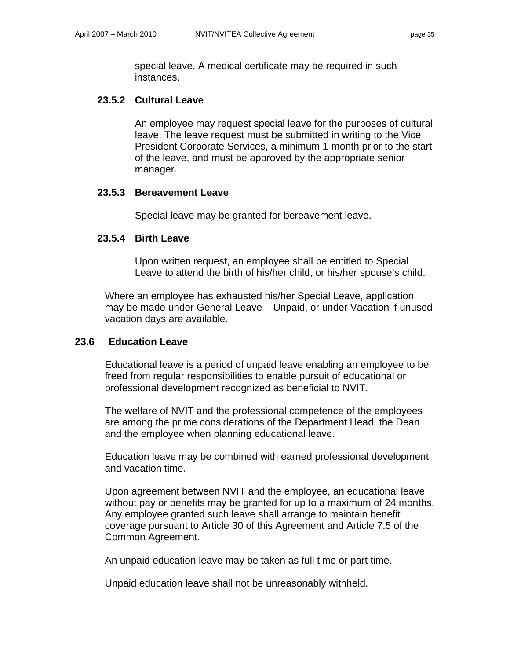special leave. A medical certificate may be required in such instances.

#### **23.5.2 Cultural Leave**

An employee may request special leave for the purposes of cultural leave. The leave request must be submitted in writing to the Vice President Corporate Services, a minimum 1-month prior to the start of the leave, and must be approved by the appropriate senior manager.

#### **23.5.3 Bereavement Leave**

Special leave may be granted for bereavement leave.

#### **23.5.4 Birth Leave**

Upon written request, an employee shall be entitled to Special Leave to attend the birth of his/her child, or his/her spouse's child.

Where an employee has exhausted his/her Special Leave, application may be made under General Leave – Unpaid, or under Vacation if unused vacation days are available.

#### **23.6 Education Leave**

Educational leave is a period of unpaid leave enabling an employee to be freed from regular responsibilities to enable pursuit of educational or professional development recognized as beneficial to NVIT.

The welfare of NVIT and the professional competence of the employees are among the prime considerations of the Department Head, the Dean and the employee when planning educational leave.

Education leave may be combined with earned professional development and vacation time.

Upon agreement between NVIT and the employee, an educational leave without pay or benefits may be granted for up to a maximum of 24 months. Any employee granted such leave shall arrange to maintain benefit coverage pursuant to Article 30 of this Agreement and Article 7.5 of the Common Agreement.

An unpaid education leave may be taken as full time or part time.

Unpaid education leave shall not be unreasonably withheld.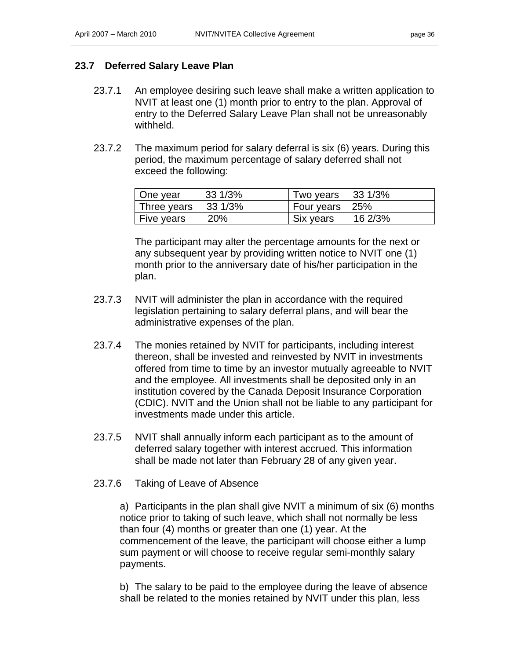### **23.7 Deferred Salary Leave Plan**

- 23.7.1 An employee desiring such leave shall make a written application to NVIT at least one (1) month prior to entry to the plan. Approval of entry to the Deferred Salary Leave Plan shall not be unreasonably withheld.
- 23.7.2 The maximum period for salary deferral is six (6) years. During this period, the maximum percentage of salary deferred shall not exceed the following:

| One year                      | 33 1/3%    | Two years 33 1/3% |         |
|-------------------------------|------------|-------------------|---------|
| Three years $33\frac{1}{3\%}$ |            | Four years 25%    |         |
| Five years                    | <b>20%</b> | Six years         | 16 2/3% |

The participant may alter the percentage amounts for the next or any subsequent year by providing written notice to NVIT one (1) month prior to the anniversary date of his/her participation in the plan.

- 23.7.3 NVIT will administer the plan in accordance with the required legislation pertaining to salary deferral plans, and will bear the administrative expenses of the plan.
- 23.7.4 The monies retained by NVIT for participants, including interest thereon, shall be invested and reinvested by NVIT in investments offered from time to time by an investor mutually agreeable to NVIT and the employee. All investments shall be deposited only in an institution covered by the Canada Deposit Insurance Corporation (CDIC). NVIT and the Union shall not be liable to any participant for investments made under this article.
- 23.7.5 NVIT shall annually inform each participant as to the amount of deferred salary together with interest accrued. This information shall be made not later than February 28 of any given year.
- 23.7.6 Taking of Leave of Absence

a) Participants in the plan shall give NVIT a minimum of six (6) months notice prior to taking of such leave, which shall not normally be less than four (4) months or greater than one (1) year. At the commencement of the leave, the participant will choose either a lump sum payment or will choose to receive regular semi-monthly salary payments.

b) The salary to be paid to the employee during the leave of absence shall be related to the monies retained by NVIT under this plan, less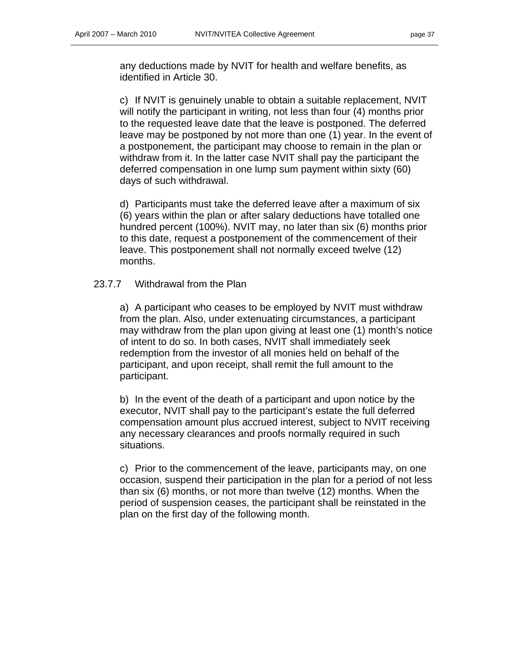any deductions made by NVIT for health and welfare benefits, as identified in Article 30.

c) If NVIT is genuinely unable to obtain a suitable replacement, NVIT will notify the participant in writing, not less than four (4) months prior to the requested leave date that the leave is postponed. The deferred leave may be postponed by not more than one (1) year. In the event of a postponement, the participant may choose to remain in the plan or withdraw from it. In the latter case NVIT shall pay the participant the deferred compensation in one lump sum payment within sixty (60) days of such withdrawal.

d) Participants must take the deferred leave after a maximum of six (6) years within the plan or after salary deductions have totalled one hundred percent (100%). NVIT may, no later than six (6) months prior to this date, request a postponement of the commencement of their leave. This postponement shall not normally exceed twelve (12) months.

#### 23.7.7 Withdrawal from the Plan

a) A participant who ceases to be employed by NVIT must withdraw from the plan. Also, under extenuating circumstances, a participant may withdraw from the plan upon giving at least one (1) month's notice of intent to do so. In both cases, NVIT shall immediately seek redemption from the investor of all monies held on behalf of the participant, and upon receipt, shall remit the full amount to the participant.

b) In the event of the death of a participant and upon notice by the executor, NVIT shall pay to the participant's estate the full deferred compensation amount plus accrued interest, subject to NVIT receiving any necessary clearances and proofs normally required in such situations.

c) Prior to the commencement of the leave, participants may, on one occasion, suspend their participation in the plan for a period of not less than six (6) months, or not more than twelve (12) months. When the period of suspension ceases, the participant shall be reinstated in the plan on the first day of the following month.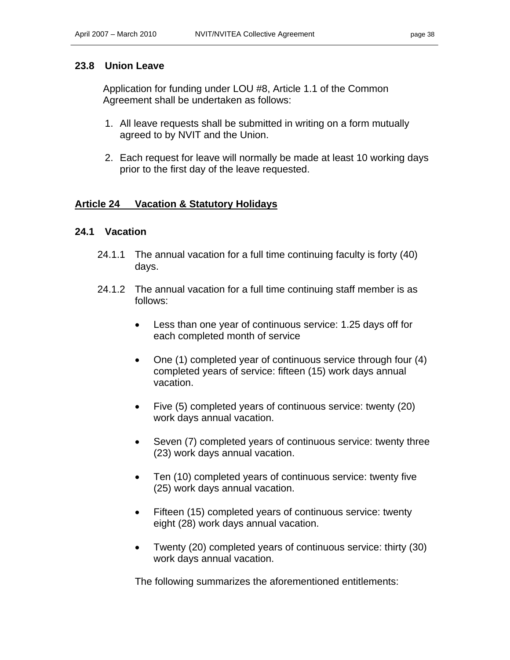### **23.8 Union Leave**

Application for funding under LOU #8, Article 1.1 of the Common Agreement shall be undertaken as follows:

- 1. All leave requests shall be submitted in writing on a form mutually agreed to by NVIT and the Union.
- 2. Each request for leave will normally be made at least 10 working days prior to the first day of the leave requested.

### **Article 24 Vacation & Statutory Holidays**

### **24.1 Vacation**

- 24.1.1 The annual vacation for a full time continuing faculty is forty (40) days.
- 24.1.2 The annual vacation for a full time continuing staff member is as follows:
	- Less than one year of continuous service: 1.25 days off for each completed month of service
	- One (1) completed year of continuous service through four (4) completed years of service: fifteen (15) work days annual vacation.
	- Five (5) completed years of continuous service: twenty (20) work days annual vacation.
	- Seven (7) completed years of continuous service: twenty three (23) work days annual vacation.
	- Ten (10) completed years of continuous service: twenty five (25) work days annual vacation.
	- Fifteen (15) completed years of continuous service: twenty eight (28) work days annual vacation.
	- Twenty (20) completed years of continuous service: thirty (30) work days annual vacation.

The following summarizes the aforementioned entitlements: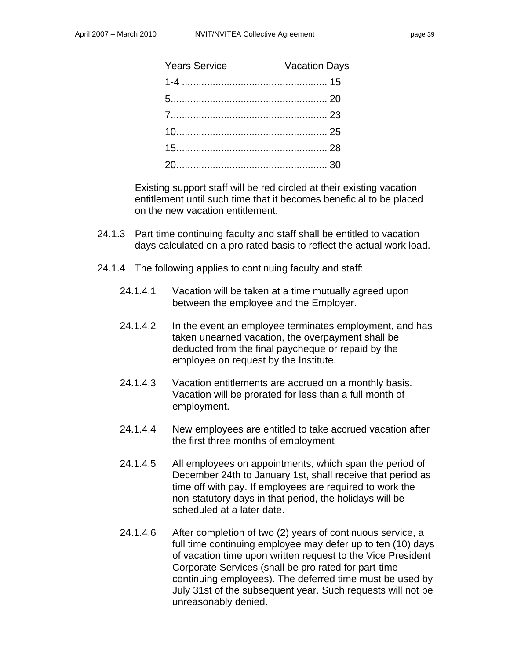| <b>Vacation Days</b> |
|----------------------|
|                      |
|                      |
|                      |
|                      |
|                      |
|                      |
|                      |

Existing support staff will be red circled at their existing vacation entitlement until such time that it becomes beneficial to be placed on the new vacation entitlement.

- 24.1.3 Part time continuing faculty and staff shall be entitled to vacation days calculated on a pro rated basis to reflect the actual work load.
- 24.1.4 The following applies to continuing faculty and staff:
	- 24.1.4.1 Vacation will be taken at a time mutually agreed upon between the employee and the Employer.
	- 24.1.4.2 In the event an employee terminates employment, and has taken unearned vacation, the overpayment shall be deducted from the final paycheque or repaid by the employee on request by the Institute.
	- 24.1.4.3 Vacation entitlements are accrued on a monthly basis. Vacation will be prorated for less than a full month of employment.
	- 24.1.4.4 New employees are entitled to take accrued vacation after the first three months of employment
	- 24.1.4.5 All employees on appointments, which span the period of December 24th to January 1st, shall receive that period as time off with pay. If employees are required to work the non-statutory days in that period, the holidays will be scheduled at a later date.
	- 24.1.4.6 After completion of two (2) years of continuous service, a full time continuing employee may defer up to ten (10) days of vacation time upon written request to the Vice President Corporate Services (shall be pro rated for part-time continuing employees). The deferred time must be used by July 31st of the subsequent year. Such requests will not be unreasonably denied.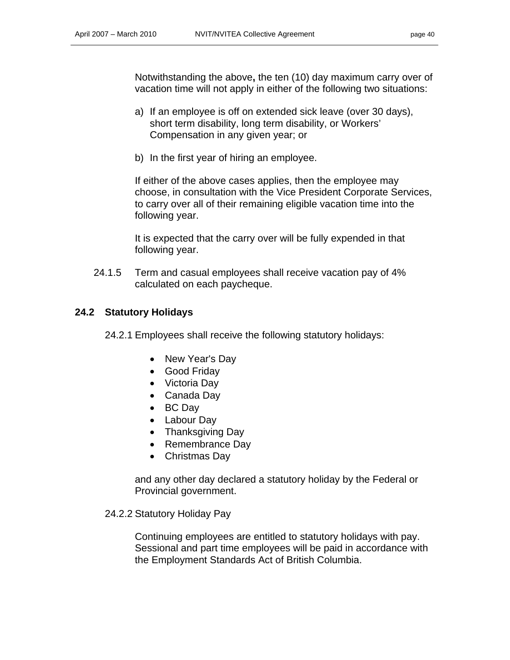Notwithstanding the above**,** the ten (10) day maximum carry over of vacation time will not apply in either of the following two situations:

- a) If an employee is off on extended sick leave (over 30 days), short term disability, long term disability, or Workers' Compensation in any given year; or
- b) In the first year of hiring an employee.

If either of the above cases applies, then the employee may choose, in consultation with the Vice President Corporate Services, to carry over all of their remaining eligible vacation time into the following year.

It is expected that the carry over will be fully expended in that following year.

24.1.5 Term and casual employees shall receive vacation pay of 4% calculated on each paycheque.

### **24.2 Statutory Holidays**

24.2.1 Employees shall receive the following statutory holidays:

- New Year's Day
- Good Friday
- Victoria Day
- Canada Day
- BC Day
- Labour Day
- Thanksgiving Day
- Remembrance Day
- Christmas Day

and any other day declared a statutory holiday by the Federal or Provincial government.

#### 24.2.2 Statutory Holiday Pay

Continuing employees are entitled to statutory holidays with pay. Sessional and part time employees will be paid in accordance with the Employment Standards Act of British Columbia.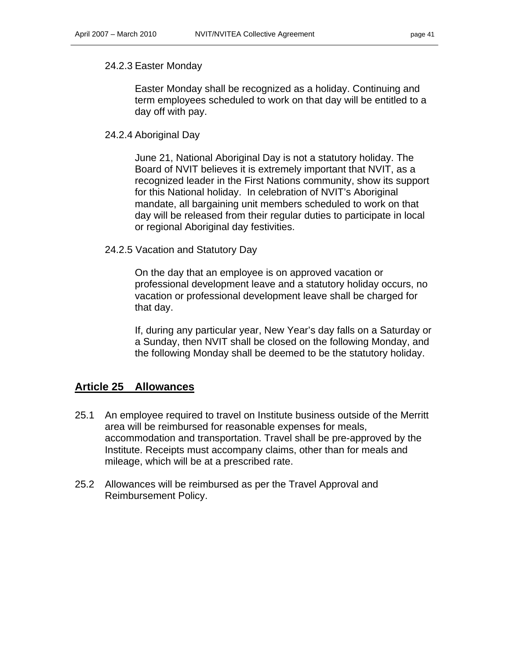#### 24.2.3 Easter Monday

Easter Monday shall be recognized as a holiday. Continuing and term employees scheduled to work on that day will be entitled to a day off with pay.

#### 24.2.4 Aboriginal Day

June 21, National Aboriginal Day is not a statutory holiday. The Board of NVIT believes it is extremely important that NVIT, as a recognized leader in the First Nations community, show its support for this National holiday. In celebration of NVIT's Aboriginal mandate, all bargaining unit members scheduled to work on that day will be released from their regular duties to participate in local or regional Aboriginal day festivities.

#### 24.2.5 Vacation and Statutory Day

On the day that an employee is on approved vacation or professional development leave and a statutory holiday occurs, no vacation or professional development leave shall be charged for that day.

If, during any particular year, New Year's day falls on a Saturday or a Sunday, then NVIT shall be closed on the following Monday, and the following Monday shall be deemed to be the statutory holiday.

### **Article 25 Allowances**

- 25.1 An employee required to travel on Institute business outside of the Merritt area will be reimbursed for reasonable expenses for meals, accommodation and transportation. Travel shall be pre-approved by the Institute. Receipts must accompany claims, other than for meals and mileage, which will be at a prescribed rate.
- 25.2 Allowances will be reimbursed as per the Travel Approval and Reimbursement Policy.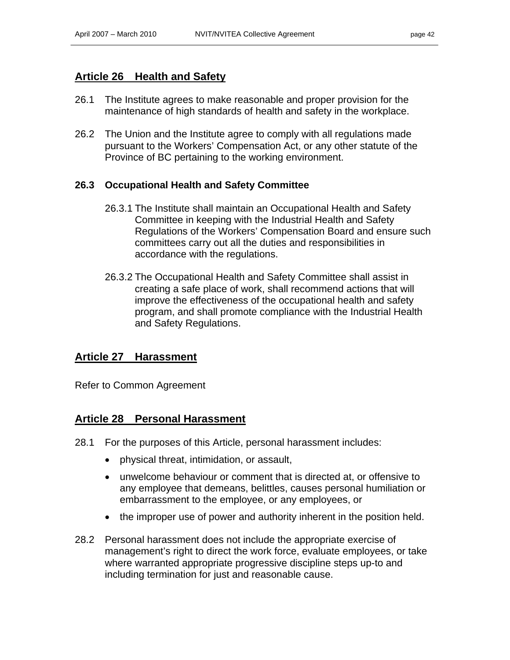### **Article 26 Health and Safety**

- 26.1 The Institute agrees to make reasonable and proper provision for the maintenance of high standards of health and safety in the workplace.
- 26.2 The Union and the Institute agree to comply with all regulations made pursuant to the Workers' Compensation Act, or any other statute of the Province of BC pertaining to the working environment.

### **26.3 Occupational Health and Safety Committee**

- 26.3.1 The Institute shall maintain an Occupational Health and Safety Committee in keeping with the Industrial Health and Safety Regulations of the Workers' Compensation Board and ensure such committees carry out all the duties and responsibilities in accordance with the regulations.
- 26.3.2 The Occupational Health and Safety Committee shall assist in creating a safe place of work, shall recommend actions that will improve the effectiveness of the occupational health and safety program, and shall promote compliance with the Industrial Health and Safety Regulations.

### **Article 27 Harassment**

Refer to Common Agreement

### **Article 28 Personal Harassment**

- 28.1 For the purposes of this Article, personal harassment includes:
	- physical threat, intimidation, or assault,
	- unwelcome behaviour or comment that is directed at, or offensive to any employee that demeans, belittles, causes personal humiliation or embarrassment to the employee, or any employees, or
	- the improper use of power and authority inherent in the position held.
- 28.2 Personal harassment does not include the appropriate exercise of management's right to direct the work force, evaluate employees, or take where warranted appropriate progressive discipline steps up-to and including termination for just and reasonable cause.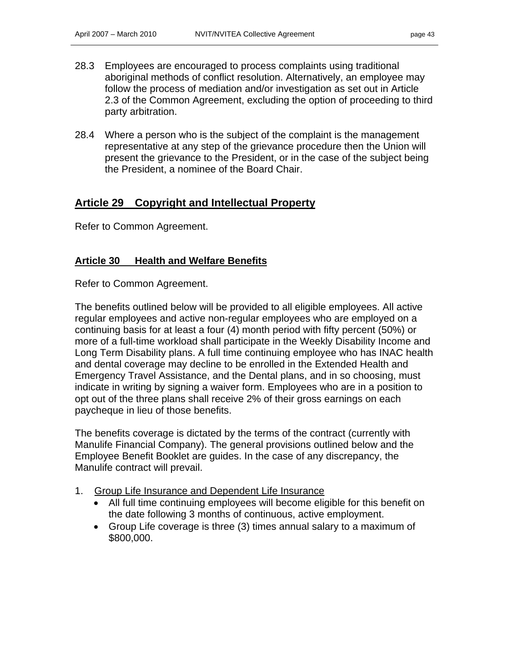- 28.3 Employees are encouraged to process complaints using traditional aboriginal methods of conflict resolution. Alternatively, an employee may follow the process of mediation and/or investigation as set out in Article 2.3 of the Common Agreement, excluding the option of proceeding to third party arbitration.
- 28.4 Where a person who is the subject of the complaint is the management representative at any step of the grievance procedure then the Union will present the grievance to the President, or in the case of the subject being the President, a nominee of the Board Chair.

### **Article 29 Copyright and Intellectual Property**

Refer to Common Agreement.

### **Article 30 Health and Welfare Benefits**

Refer to Common Agreement.

The benefits outlined below will be provided to all eligible employees. All active regular employees and active non-regular employees who are employed on a continuing basis for at least a four (4) month period with fifty percent (50%) or more of a full-time workload shall participate in the Weekly Disability Income and Long Term Disability plans. A full time continuing employee who has INAC health and dental coverage may decline to be enrolled in the Extended Health and Emergency Travel Assistance, and the Dental plans, and in so choosing, must indicate in writing by signing a waiver form. Employees who are in a position to opt out of the three plans shall receive 2% of their gross earnings on each paycheque in lieu of those benefits.

The benefits coverage is dictated by the terms of the contract (currently with Manulife Financial Company). The general provisions outlined below and the Employee Benefit Booklet are guides. In the case of any discrepancy, the Manulife contract will prevail.

- 1. Group Life Insurance and Dependent Life Insurance
	- All full time continuing employees will become eligible for this benefit on the date following 3 months of continuous, active employment.
	- Group Life coverage is three (3) times annual salary to a maximum of \$800,000.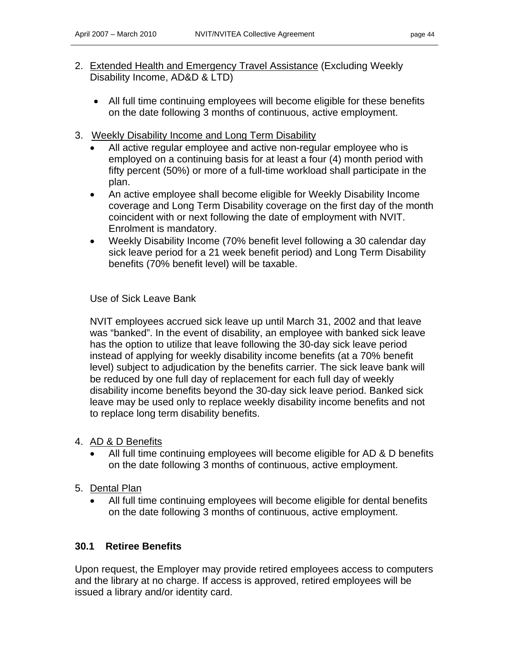- 2. Extended Health and Emergency Travel Assistance (Excluding Weekly Disability Income, AD&D & LTD)
	- All full time continuing employees will become eligible for these benefits on the date following 3 months of continuous, active employment.
- 3. Weekly Disability Income and Long Term Disability
	- All active regular employee and active non-regular employee who is employed on a continuing basis for at least a four (4) month period with fifty percent (50%) or more of a full-time workload shall participate in the plan.
	- An active employee shall become eligible for Weekly Disability Income coverage and Long Term Disability coverage on the first day of the month coincident with or next following the date of employment with NVIT. Enrolment is mandatory.
	- Weekly Disability Income (70% benefit level following a 30 calendar day sick leave period for a 21 week benefit period) and Long Term Disability benefits (70% benefit level) will be taxable.

### Use of Sick Leave Bank

NVIT employees accrued sick leave up until March 31, 2002 and that leave was "banked". In the event of disability, an employee with banked sick leave has the option to utilize that leave following the 30-day sick leave period instead of applying for weekly disability income benefits (at a 70% benefit level) subject to adjudication by the benefits carrier. The sick leave bank will be reduced by one full day of replacement for each full day of weekly disability income benefits beyond the 30-day sick leave period. Banked sick leave may be used only to replace weekly disability income benefits and not to replace long term disability benefits.

### 4. AD & D Benefits

- All full time continuing employees will become eligible for AD & D benefits on the date following 3 months of continuous, active employment.
- 5. Dental Plan
	- All full time continuing employees will become eligible for dental benefits on the date following 3 months of continuous, active employment.

### **30.1 Retiree Benefits**

Upon request, the Employer may provide retired employees access to computers and the library at no charge. If access is approved, retired employees will be issued a library and/or identity card.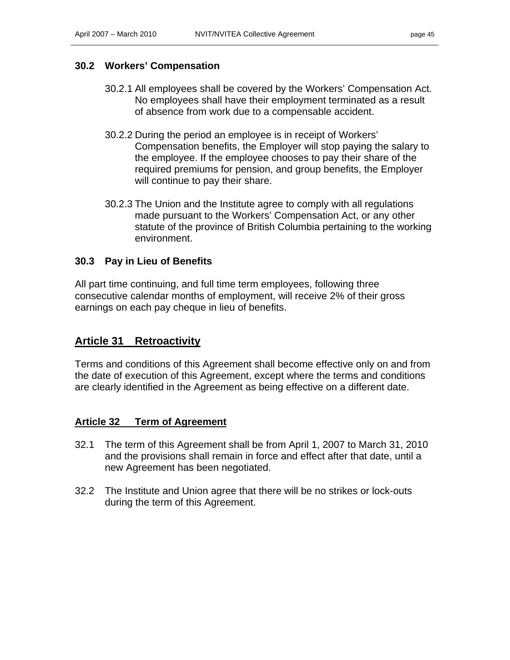### **30.2 Workers' Compensation**

- 30.2.1 All employees shall be covered by the Workers' Compensation Act. No employees shall have their employment terminated as a result of absence from work due to a compensable accident.
- 30.2.2 During the period an employee is in receipt of Workers' Compensation benefits, the Employer will stop paying the salary to the employee. If the employee chooses to pay their share of the required premiums for pension, and group benefits, the Employer will continue to pay their share.
- 30.2.3 The Union and the Institute agree to comply with all regulations made pursuant to the Workers' Compensation Act, or any other statute of the province of British Columbia pertaining to the working environment.

### **30.3 Pay in Lieu of Benefits**

All part time continuing, and full time term employees, following three consecutive calendar months of employment, will receive 2% of their gross earnings on each pay cheque in lieu of benefits.

### **Article 31 Retroactivity**

Terms and conditions of this Agreement shall become effective only on and from the date of execution of this Agreement, except where the terms and conditions are clearly identified in the Agreement as being effective on a different date.

### **Article 32 Term of Agreement**

- 32.1 The term of this Agreement shall be from April 1, 2007 to March 31, 2010 and the provisions shall remain in force and effect after that date, until a new Agreement has been negotiated.
- 32.2 The Institute and Union agree that there will be no strikes or lock-outs during the term of this Agreement.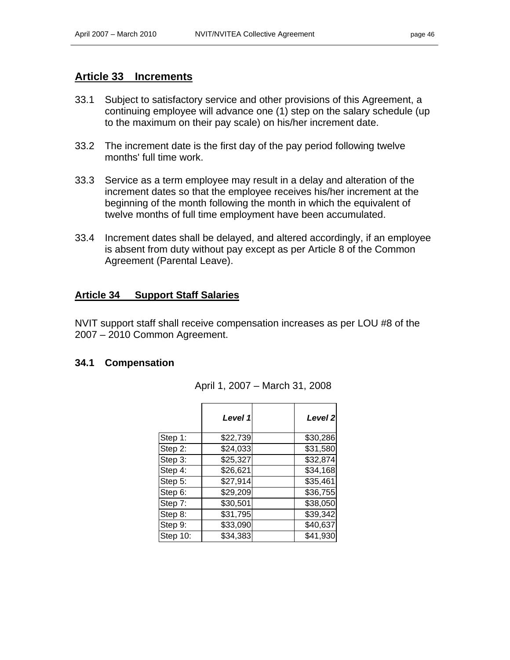#### **Article 33 Increments**

- 33.1 Subject to satisfactory service and other provisions of this Agreement, a continuing employee will advance one (1) step on the salary schedule (up to the maximum on their pay scale) on his/her increment date.
- 33.2 The increment date is the first day of the pay period following twelve months' full time work.
- 33.3 Service as a term employee may result in a delay and alteration of the increment dates so that the employee receives his/her increment at the beginning of the month following the month in which the equivalent of twelve months of full time employment have been accumulated.
- 33.4 Increment dates shall be delayed, and altered accordingly, if an employee is absent from duty without pay except as per Article 8 of the Common Agreement (Parental Leave).

### **Article 34 Support Staff Salaries**

NVIT support staff shall receive compensation increases as per LOU #8 of the 2007 – 2010 Common Agreement.

#### **34.1 Compensation**

|          | Level 1  | Level 2  |
|----------|----------|----------|
| Step 1:  | \$22,739 | \$30,286 |
| Step 2:  | \$24,033 | \$31,580 |
| Step 3:  | \$25,327 | \$32,874 |
| Step 4:  | \$26,621 | \$34,168 |
| Step 5:  | \$27,914 | \$35,461 |
| Step 6:  | \$29,209 | \$36,755 |
| Step 7:  | \$30,501 | \$38,050 |
| Step 8:  | \$31,795 | \$39,342 |
| Step 9:  | \$33,090 | \$40,637 |
| Step 10: | \$34,383 | \$41,930 |

April 1, 2007 – March 31, 2008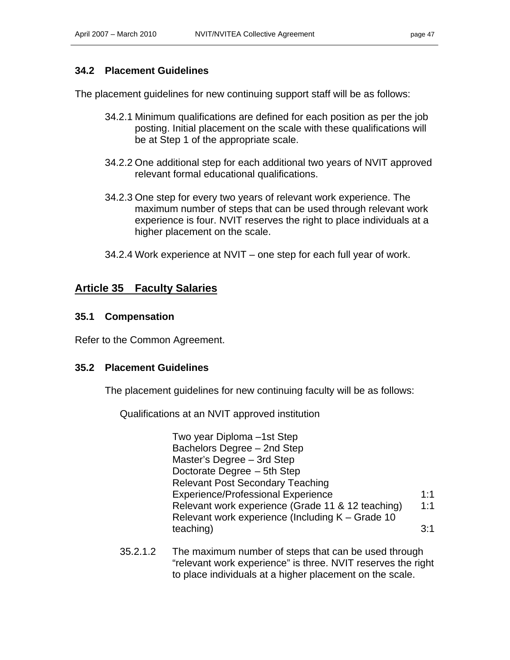### **34.2 Placement Guidelines**

The placement guidelines for new continuing support staff will be as follows:

- 34.2.1 Minimum qualifications are defined for each position as per the job posting. Initial placement on the scale with these qualifications will be at Step 1 of the appropriate scale.
- 34.2.2 One additional step for each additional two years of NVIT approved relevant formal educational qualifications.
- 34.2.3 One step for every two years of relevant work experience. The maximum number of steps that can be used through relevant work experience is four. NVIT reserves the right to place individuals at a higher placement on the scale.
- 34.2.4 Work experience at NVIT one step for each full year of work.

### **Article 35 Faculty Salaries**

#### **35.1 Compensation**

Refer to the Common Agreement.

#### **35.2 Placement Guidelines**

The placement guidelines for new continuing faculty will be as follows:

Qualifications at an NVIT approved institution

Two year Diploma –1st Step Bachelors Degree – 2nd Step Master's Degree – 3rd Step Doctorate Degree – 5th Step Relevant Post Secondary Teaching Experience/Professional Experience 1:1 Relevant work experience (Grade 11 & 12 teaching) 1:1 Relevant work experience (Including K – Grade 10 teaching) 3:1

35.2.1.2 The maximum number of steps that can be used through "relevant work experience" is three. NVIT reserves the right to place individuals at a higher placement on the scale.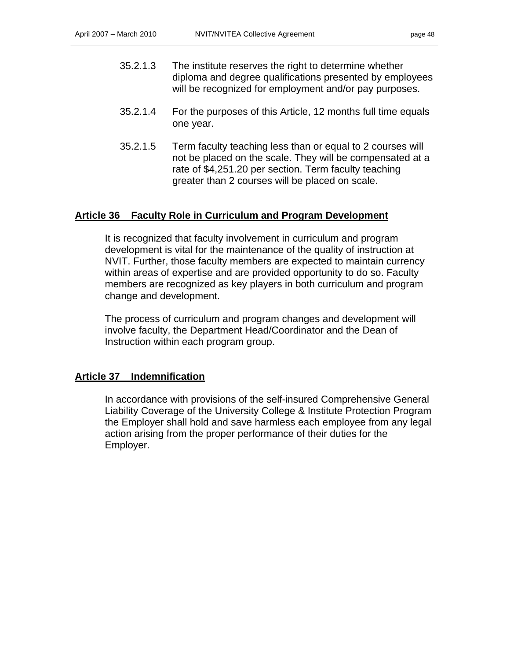- 35.2.1.3 The institute reserves the right to determine whether diploma and degree qualifications presented by employees will be recognized for employment and/or pay purposes.
- 35.2.1.4 For the purposes of this Article, 12 months full time equals one year.
- 35.2.1.5 Term faculty teaching less than or equal to 2 courses will not be placed on the scale. They will be compensated at a rate of \$4,251.20 per section. Term faculty teaching greater than 2 courses will be placed on scale.

### **Article 36 Faculty Role in Curriculum and Program Development**

It is recognized that faculty involvement in curriculum and program development is vital for the maintenance of the quality of instruction at NVIT. Further, those faculty members are expected to maintain currency within areas of expertise and are provided opportunity to do so. Faculty members are recognized as key players in both curriculum and program change and development.

The process of curriculum and program changes and development will involve faculty, the Department Head/Coordinator and the Dean of Instruction within each program group.

#### **Article 37 Indemnification**

In accordance with provisions of the self-insured Comprehensive General Liability Coverage of the University College & Institute Protection Program the Employer shall hold and save harmless each employee from any legal action arising from the proper performance of their duties for the Employer.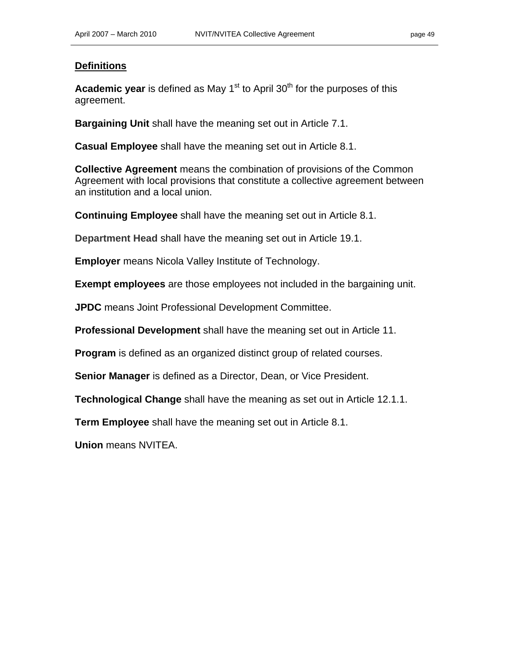#### **Definitions**

**Academic year** is defined as May 1<sup>st</sup> to April 30<sup>th</sup> for the purposes of this agreement.

**Bargaining Unit** shall have the meaning set out in Article 7.1.

**Casual Employee** shall have the meaning set out in Article 8.1.

**Collective Agreement** means the combination of provisions of the Common Agreement with local provisions that constitute a collective agreement between an institution and a local union.

**Continuing Employee** shall have the meaning set out in Article 8.1.

**Department Head** shall have the meaning set out in Article 19.1.

**Employer** means Nicola Valley Institute of Technology.

**Exempt employees** are those employees not included in the bargaining unit.

**JPDC** means Joint Professional Development Committee.

**Professional Development** shall have the meaning set out in Article 11.

**Program** is defined as an organized distinct group of related courses.

**Senior Manager** is defined as a Director, Dean, or Vice President.

**Technological Change** shall have the meaning as set out in Article 12.1.1.

**Term Employee** shall have the meaning set out in Article 8.1.

**Union** means NVITEA.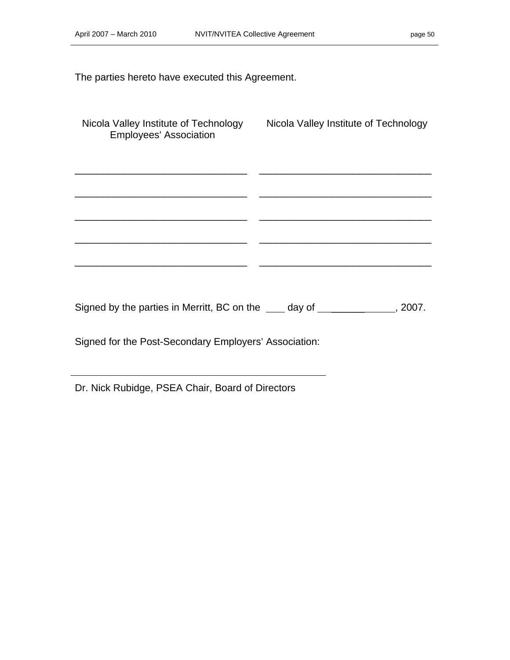The parties hereto have executed this Agreement.

| <b>Employees' Association</b>                                                                                                                                                                                                       | Nicola Valley Institute of Technology Nicola Valley Institute of Technology |
|-------------------------------------------------------------------------------------------------------------------------------------------------------------------------------------------------------------------------------------|-----------------------------------------------------------------------------|
|                                                                                                                                                                                                                                     |                                                                             |
|                                                                                                                                                                                                                                     |                                                                             |
|                                                                                                                                                                                                                                     |                                                                             |
| Signed by the parties in Merritt, BC on the <u>contact day of the contract</u> contact the Signed by the parties in Merritt, BC on the case of the contract of the sense of the sense of the sense of the sense of the sense of the |                                                                             |
| Signed for the Post-Secondary Employers' Association:                                                                                                                                                                               |                                                                             |

Dr. Nick Rubidge, PSEA Chair, Board of Directors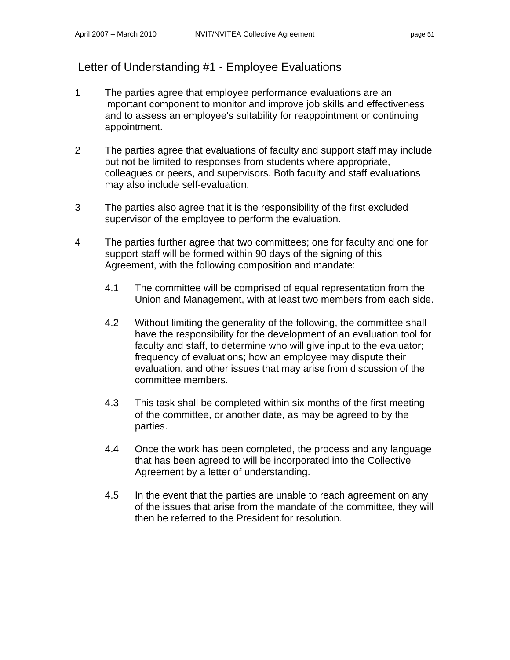## Letter of Understanding #1 - Employee Evaluations

- 1 The parties agree that employee performance evaluations are an important component to monitor and improve job skills and effectiveness and to assess an employee's suitability for reappointment or continuing appointment.
- 2 The parties agree that evaluations of faculty and support staff may include but not be limited to responses from students where appropriate, colleagues or peers, and supervisors. Both faculty and staff evaluations may also include self-evaluation.
- 3 The parties also agree that it is the responsibility of the first excluded supervisor of the employee to perform the evaluation.
- 4 The parties further agree that two committees; one for faculty and one for support staff will be formed within 90 days of the signing of this Agreement, with the following composition and mandate:
	- 4.1 The committee will be comprised of equal representation from the Union and Management, with at least two members from each side.
	- 4.2 Without limiting the generality of the following, the committee shall have the responsibility for the development of an evaluation tool for faculty and staff, to determine who will give input to the evaluator; frequency of evaluations; how an employee may dispute their evaluation, and other issues that may arise from discussion of the committee members.
	- 4.3 This task shall be completed within six months of the first meeting of the committee, or another date, as may be agreed to by the parties.
	- 4.4 Once the work has been completed, the process and any language that has been agreed to will be incorporated into the Collective Agreement by a letter of understanding.
	- 4.5 In the event that the parties are unable to reach agreement on any of the issues that arise from the mandate of the committee, they will then be referred to the President for resolution.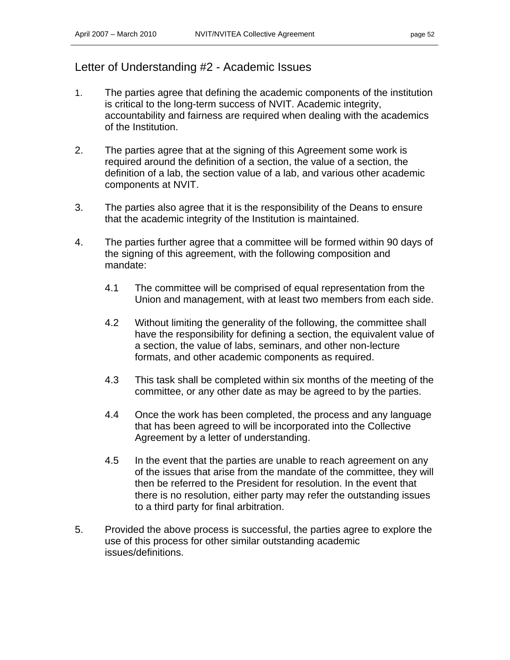### Letter of Understanding #2 - Academic Issues

- 1. The parties agree that defining the academic components of the institution is critical to the long-term success of NVIT. Academic integrity, accountability and fairness are required when dealing with the academics of the Institution.
- 2. The parties agree that at the signing of this Agreement some work is required around the definition of a section, the value of a section, the definition of a lab, the section value of a lab, and various other academic components at NVIT.
- 3. The parties also agree that it is the responsibility of the Deans to ensure that the academic integrity of the Institution is maintained.
- 4. The parties further agree that a committee will be formed within 90 days of the signing of this agreement, with the following composition and mandate:
	- 4.1 The committee will be comprised of equal representation from the Union and management, with at least two members from each side.
	- 4.2 Without limiting the generality of the following, the committee shall have the responsibility for defining a section, the equivalent value of a section, the value of labs, seminars, and other non-lecture formats, and other academic components as required.
	- 4.3 This task shall be completed within six months of the meeting of the committee, or any other date as may be agreed to by the parties.
	- 4.4 Once the work has been completed, the process and any language that has been agreed to will be incorporated into the Collective Agreement by a letter of understanding.
	- 4.5 In the event that the parties are unable to reach agreement on any of the issues that arise from the mandate of the committee, they will then be referred to the President for resolution. In the event that there is no resolution, either party may refer the outstanding issues to a third party for final arbitration.
- 5. Provided the above process is successful, the parties agree to explore the use of this process for other similar outstanding academic issues/definitions.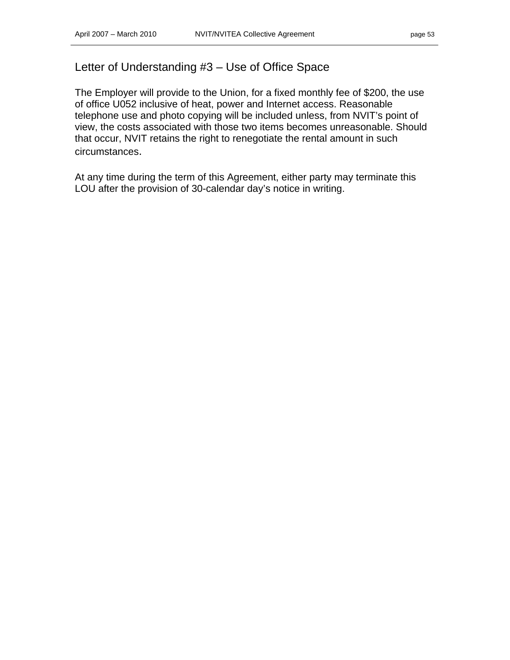### Letter of Understanding #3 – Use of Office Space

The Employer will provide to the Union, for a fixed monthly fee of \$200, the use of office U052 inclusive of heat, power and Internet access. Reasonable telephone use and photo copying will be included unless, from NVIT's point of view, the costs associated with those two items becomes unreasonable. Should that occur, NVIT retains the right to renegotiate the rental amount in such circumstances.

At any time during the term of this Agreement, either party may terminate this LOU after the provision of 30-calendar day's notice in writing.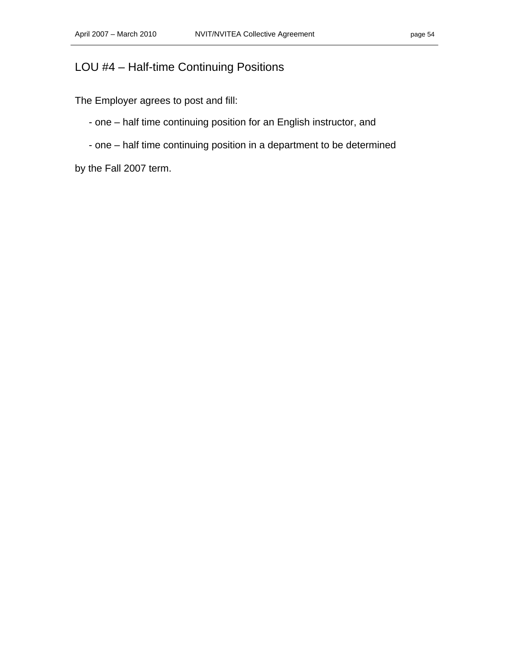# LOU #4 – Half-time Continuing Positions

The Employer agrees to post and fill:

- one – half time continuing position for an English instructor, and

- one – half time continuing position in a department to be determined

by the Fall 2007 term.